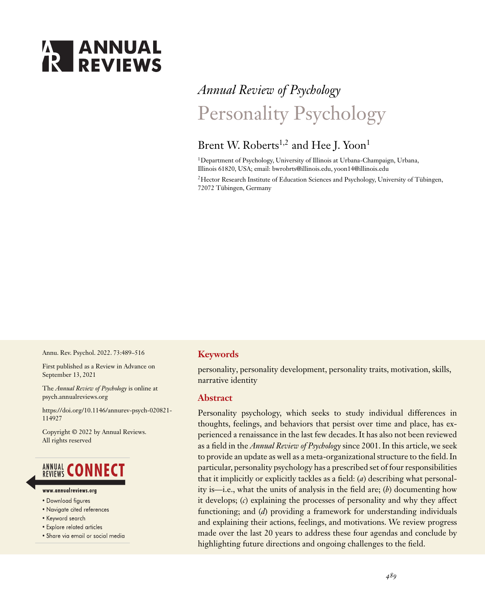# **ANNUAL**<br>**REVIEWS**

# *Annual Review of Psychology* Personality Psychology

### Brent W. Roberts<sup>1,2</sup> and Hee J. Yoon<sup>1</sup>

<sup>1</sup>Department of Psychology, University of Illinois at Urbana-Champaign, Urbana, Illinois 61820, USA; email: bwrobrts@illinois.edu, yoon14@illinois.edu

<sup>2</sup>Hector Research Institute of Education Sciences and Psychology, University of Tübingen, 72072 Tübingen, Germany

Annu. Rev. Psychol. 2022. 73:489–516

First published as a Review in Advance on September 13, 2021

The *Annual Review of Psychology* is online at psych.annualreviews.org

https://doi.org/10.1146/annurev-psych-020821- 114927

Copyright © 2022 by Annual Reviews. All rights reserved

## **ANNUAL CONNECT**

- www.annualreviews.ora
- · Download figures
- Navigate cited references
- Keyword search
- Explore related articles
- · Share via email or social media

#### **Keywords**

personality, personality development, personality traits, motivation, skills, narrative identity

#### **Abstract**

Personality psychology, which seeks to study individual differences in thoughts, feelings, and behaviors that persist over time and place, has experienced a renaissance in the last few decades. It has also not been reviewed as a field in the *Annual Review of Psychology* since 2001. In this article, we seek to provide an update as well as a meta-organizational structure to the field. In particular, personality psychology has a prescribed set of four responsibilities that it implicitly or explicitly tackles as a field: (*a*) describing what personality is—i.e., what the units of analysis in the field are; (*b*) documenting how it develops; (*c*) explaining the processes of personality and why they affect functioning; and (*d*) providing a framework for understanding individuals and explaining their actions, feelings, and motivations. We review progress made over the last 20 years to address these four agendas and conclude by highlighting future directions and ongoing challenges to the field.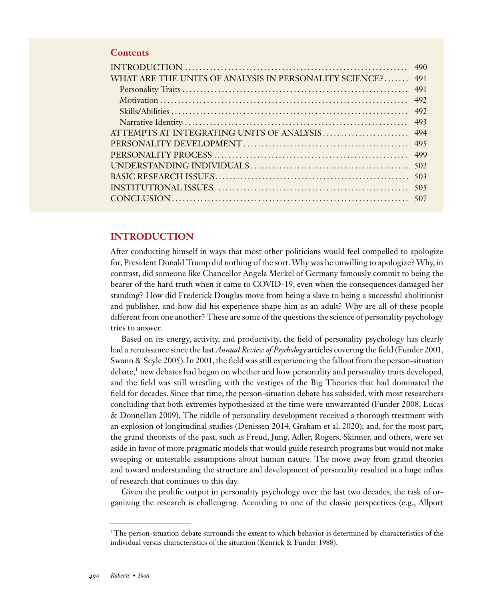#### **Contents**

| WHAT ARE THE UNITS OF ANALYSIS IN PERSONALITY SCIENCE? 491 |
|------------------------------------------------------------|
|                                                            |
|                                                            |
|                                                            |
|                                                            |
|                                                            |
|                                                            |
|                                                            |
|                                                            |
|                                                            |
|                                                            |
|                                                            |
|                                                            |

#### **INTRODUCTION**

After conducting himself in ways that most other politicians would feel compelled to apologize for, President Donald Trump did nothing of the sort.Why was he unwilling to apologize? Why, in contrast, did someone like Chancellor Angela Merkel of Germany famously commit to being the bearer of the hard truth when it came to COVID-19, even when the consequences damaged her standing? How did Frederick Douglas move from being a slave to being a successful abolitionist and publisher, and how did his experience shape him as an adult? Why are all of these people different from one another? These are some of the questions the science of personality psychology tries to answer.

Based on its energy, activity, and productivity, the field of personality psychology has clearly had a renaissance since the last *Annual Review of Psychology* articles covering the field (Funder 2001, Swann & Seyle 2005). In 2001, the field was still experiencing the fallout from the person-situation  $\delta$  debate,<sup>1</sup> new debates had begun on whether and how personality and personality traits developed, and the field was still wrestling with the vestiges of the Big Theories that had dominated the field for decades. Since that time, the person-situation debate has subsided, with most researchers concluding that both extremes hypothesized at the time were unwarranted (Funder 2008, Lucas & Donnellan 2009). The riddle of personality development received a thorough treatment with an explosion of longitudinal studies (Denissen 2014, Graham et al. 2020); and, for the most part, the grand theorists of the past, such as Freud, Jung, Adler, Rogers, Skinner, and others, were set aside in favor of more pragmatic models that would guide research programs but would not make sweeping or untestable assumptions about human nature. The move away from grand theories and toward understanding the structure and development of personality resulted in a huge influx of research that continues to this day.

Given the prolific output in personality psychology over the last two decades, the task of organizing the research is challenging. According to one of the classic perspectives (e.g., Allport

 $1$ The person-situation debate surrounds the extent to which behavior is determined by characteristics of the individual versus characteristics of the situation (Kenrick & Funder 1988).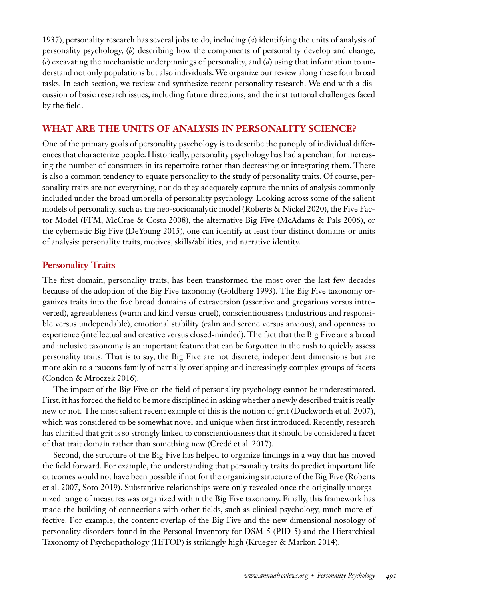1937), personality research has several jobs to do, including (*a*) identifying the units of analysis of personality psychology, (*b*) describing how the components of personality develop and change, (*c*) excavating the mechanistic underpinnings of personality, and (*d*) using that information to understand not only populations but also individuals.We organize our review along these four broad tasks. In each section, we review and synthesize recent personality research. We end with a discussion of basic research issues, including future directions, and the institutional challenges faced by the field.

#### **WHAT ARE THE UNITS OF ANALYSIS IN PERSONALITY SCIENCE?**

One of the primary goals of personality psychology is to describe the panoply of individual differences that characterize people. Historically, personality psychology has had a penchant for increasing the number of constructs in its repertoire rather than decreasing or integrating them. There is also a common tendency to equate personality to the study of personality traits. Of course, personality traits are not everything, nor do they adequately capture the units of analysis commonly included under the broad umbrella of personality psychology. Looking across some of the salient models of personality, such as the neo-socioanalytic model (Roberts & Nickel 2020), the Five Factor Model (FFM; McCrae & Costa 2008), the alternative Big Five (McAdams & Pals 2006), or the cybernetic Big Five (DeYoung 2015), one can identify at least four distinct domains or units of analysis: personality traits, motives, skills/abilities, and narrative identity.

#### **Personality Traits**

The first domain, personality traits, has been transformed the most over the last few decades because of the adoption of the Big Five taxonomy (Goldberg 1993). The Big Five taxonomy organizes traits into the five broad domains of extraversion (assertive and gregarious versus introverted), agreeableness (warm and kind versus cruel), conscientiousness (industrious and responsible versus undependable), emotional stability (calm and serene versus anxious), and openness to experience (intellectual and creative versus closed-minded). The fact that the Big Five are a broad and inclusive taxonomy is an important feature that can be forgotten in the rush to quickly assess personality traits. That is to say, the Big Five are not discrete, independent dimensions but are more akin to a raucous family of partially overlapping and increasingly complex groups of facets (Condon & Mroczek 2016).

The impact of the Big Five on the field of personality psychology cannot be underestimated. First, it has forced the field to be more disciplined in asking whether a newly described trait is really new or not. The most salient recent example of this is the notion of grit (Duckworth et al. 2007), which was considered to be somewhat novel and unique when first introduced. Recently, research has clarified that grit is so strongly linked to conscientiousness that it should be considered a facet of that trait domain rather than something new (Credé et al. 2017).

Second, the structure of the Big Five has helped to organize findings in a way that has moved the field forward. For example, the understanding that personality traits do predict important life outcomes would not have been possible if not for the organizing structure of the Big Five (Roberts et al. 2007, Soto 2019). Substantive relationships were only revealed once the originally unorganized range of measures was organized within the Big Five taxonomy. Finally, this framework has made the building of connections with other fields, such as clinical psychology, much more effective. For example, the content overlap of the Big Five and the new dimensional nosology of personality disorders found in the Personal Inventory for DSM-5 (PID-5) and the Hierarchical Taxonomy of Psychopathology (HiTOP) is strikingly high (Krueger & Markon 2014).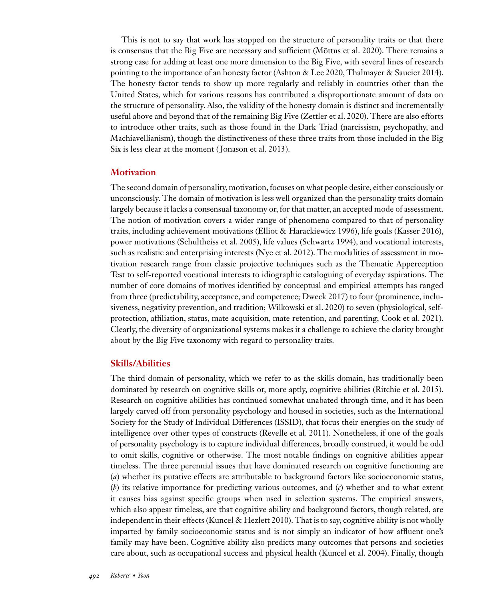This is not to say that work has stopped on the structure of personality traits or that there is consensus that the Big Five are necessary and sufficient (Mõttus et al. 2020). There remains a strong case for adding at least one more dimension to the Big Five, with several lines of research pointing to the importance of an honesty factor (Ashton & Lee 2020, Thalmayer & Saucier 2014). The honesty factor tends to show up more regularly and reliably in countries other than the United States, which for various reasons has contributed a disproportionate amount of data on the structure of personality. Also, the validity of the honesty domain is distinct and incrementally useful above and beyond that of the remaining Big Five (Zettler et al. 2020). There are also efforts to introduce other traits, such as those found in the Dark Triad (narcissism, psychopathy, and Machiavellianism), though the distinctiveness of these three traits from those included in the Big Six is less clear at the moment ( Jonason et al. 2013).

#### **Motivation**

The second domain of personality, motivation, focuses on what people desire, either consciously or unconsciously. The domain of motivation is less well organized than the personality traits domain largely because it lacks a consensual taxonomy or, for that matter, an accepted mode of assessment. The notion of motivation covers a wider range of phenomena compared to that of personality traits, including achievement motivations (Elliot & Harackiewicz 1996), life goals (Kasser 2016), power motivations (Schultheiss et al. 2005), life values (Schwartz 1994), and vocational interests, such as realistic and enterprising interests (Nye et al. 2012). The modalities of assessment in motivation research range from classic projective techniques such as the Thematic Apperception Test to self-reported vocational interests to idiographic cataloguing of everyday aspirations. The number of core domains of motives identified by conceptual and empirical attempts has ranged from three (predictability, acceptance, and competence; Dweck 2017) to four (prominence, inclusiveness, negativity prevention, and tradition; Wilkowski et al. 2020) to seven (physiological, selfprotection, affiliation, status, mate acquisition, mate retention, and parenting; Cook et al. 2021). Clearly, the diversity of organizational systems makes it a challenge to achieve the clarity brought about by the Big Five taxonomy with regard to personality traits.

#### **Skills/Abilities**

The third domain of personality, which we refer to as the skills domain, has traditionally been dominated by research on cognitive skills or, more aptly, cognitive abilities (Ritchie et al. 2015). Research on cognitive abilities has continued somewhat unabated through time, and it has been largely carved off from personality psychology and housed in societies, such as the International Society for the Study of Individual Differences (ISSID), that focus their energies on the study of intelligence over other types of constructs (Revelle et al. 2011). Nonetheless, if one of the goals of personality psychology is to capture individual differences, broadly construed, it would be odd to omit skills, cognitive or otherwise. The most notable findings on cognitive abilities appear timeless. The three perennial issues that have dominated research on cognitive functioning are (*a*) whether its putative effects are attributable to background factors like socioeconomic status, (*b*) its relative importance for predicting various outcomes, and (*c*) whether and to what extent it causes bias against specific groups when used in selection systems. The empirical answers, which also appear timeless, are that cognitive ability and background factors, though related, are independent in their effects (Kuncel & Hezlett 2010). That is to say, cognitive ability is not wholly imparted by family socioeconomic status and is not simply an indicator of how affluent one's family may have been. Cognitive ability also predicts many outcomes that persons and societies care about, such as occupational success and physical health (Kuncel et al. 2004). Finally, though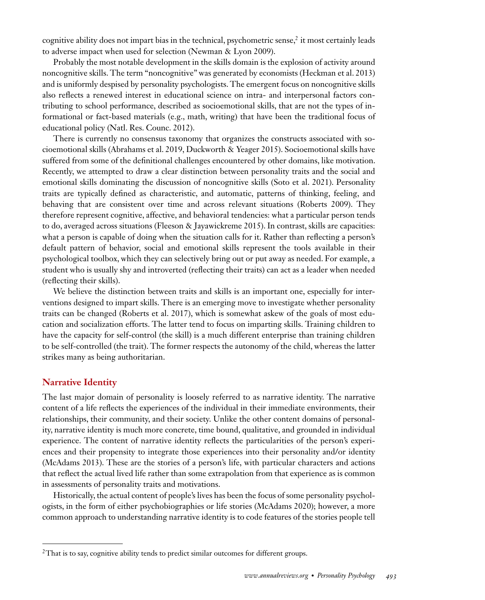cognitive ability does not impart bias in the technical, psychometric sense, $\hat{i}$  it most certainly leads to adverse impact when used for selection (Newman & Lyon 2009).

Probably the most notable development in the skills domain is the explosion of activity around noncognitive skills. The term "noncognitive" was generated by economists (Heckman et al. 2013) and is uniformly despised by personality psychologists. The emergent focus on noncognitive skills also reflects a renewed interest in educational science on intra- and interpersonal factors contributing to school performance, described as socioemotional skills, that are not the types of informational or fact-based materials (e.g., math, writing) that have been the traditional focus of educational policy (Natl. Res. Counc. 2012).

There is currently no consensus taxonomy that organizes the constructs associated with socioemotional skills (Abrahams et al. 2019, Duckworth & Yeager 2015). Socioemotional skills have suffered from some of the definitional challenges encountered by other domains, like motivation. Recently, we attempted to draw a clear distinction between personality traits and the social and emotional skills dominating the discussion of noncognitive skills (Soto et al. 2021). Personality traits are typically defined as characteristic, and automatic, patterns of thinking, feeling, and behaving that are consistent over time and across relevant situations (Roberts 2009). They therefore represent cognitive, affective, and behavioral tendencies: what a particular person tends to do, averaged across situations (Fleeson & Jayawickreme 2015). In contrast, skills are capacities: what a person is capable of doing when the situation calls for it. Rather than reflecting a person's default pattern of behavior, social and emotional skills represent the tools available in their psychological toolbox, which they can selectively bring out or put away as needed. For example, a student who is usually shy and introverted (reflecting their traits) can act as a leader when needed (reflecting their skills).

We believe the distinction between traits and skills is an important one, especially for interventions designed to impart skills. There is an emerging move to investigate whether personality traits can be changed (Roberts et al. 2017), which is somewhat askew of the goals of most education and socialization efforts. The latter tend to focus on imparting skills. Training children to have the capacity for self-control (the skill) is a much different enterprise than training children to be self-controlled (the trait). The former respects the autonomy of the child, whereas the latter strikes many as being authoritarian.

#### **Narrative Identity**

The last major domain of personality is loosely referred to as narrative identity. The narrative content of a life reflects the experiences of the individual in their immediate environments, their relationships, their community, and their society. Unlike the other content domains of personality, narrative identity is much more concrete, time bound, qualitative, and grounded in individual experience. The content of narrative identity reflects the particularities of the person's experiences and their propensity to integrate those experiences into their personality and/or identity (McAdams 2013). These are the stories of a person's life, with particular characters and actions that reflect the actual lived life rather than some extrapolation from that experience as is common in assessments of personality traits and motivations.

Historically, the actual content of people's lives has been the focus of some personality psychologists, in the form of either psychobiographies or life stories (McAdams 2020); however, a more common approach to understanding narrative identity is to code features of the stories people tell

<sup>&</sup>lt;sup>2</sup>That is to say, cognitive ability tends to predict similar outcomes for different groups.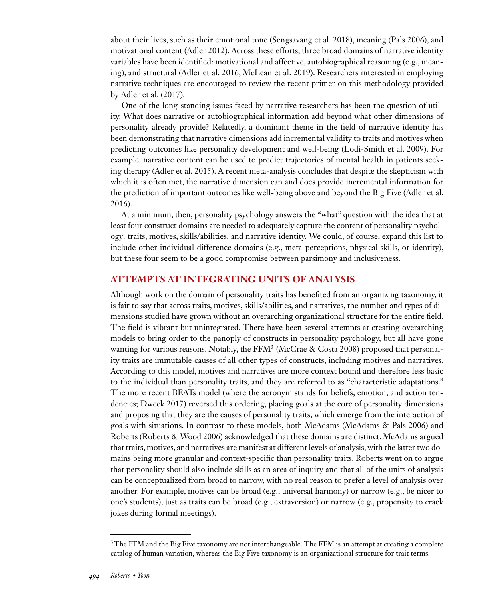about their lives, such as their emotional tone (Sengsavang et al. 2018), meaning (Pals 2006), and motivational content (Adler 2012). Across these efforts, three broad domains of narrative identity variables have been identified: motivational and affective, autobiographical reasoning (e.g., meaning), and structural (Adler et al. 2016, McLean et al. 2019). Researchers interested in employing narrative techniques are encouraged to review the recent primer on this methodology provided by Adler et al. (2017).

One of the long-standing issues faced by narrative researchers has been the question of utility. What does narrative or autobiographical information add beyond what other dimensions of personality already provide? Relatedly, a dominant theme in the field of narrative identity has been demonstrating that narrative dimensions add incremental validity to traits and motives when predicting outcomes like personality development and well-being (Lodi-Smith et al. 2009). For example, narrative content can be used to predict trajectories of mental health in patients seeking therapy (Adler et al. 2015). A recent meta-analysis concludes that despite the skepticism with which it is often met, the narrative dimension can and does provide incremental information for the prediction of important outcomes like well-being above and beyond the Big Five (Adler et al. 2016).

At a minimum, then, personality psychology answers the "what" question with the idea that at least four construct domains are needed to adequately capture the content of personality psychology: traits, motives, skills/abilities, and narrative identity. We could, of course, expand this list to include other individual difference domains (e.g., meta-perceptions, physical skills, or identity), but these four seem to be a good compromise between parsimony and inclusiveness.

#### **ATTEMPTS AT INTEGRATING UNITS OF ANALYSIS**

Although work on the domain of personality traits has benefited from an organizing taxonomy, it is fair to say that across traits, motives, skills/abilities, and narratives, the number and types of dimensions studied have grown without an overarching organizational structure for the entire field. The field is vibrant but unintegrated. There have been several attempts at creating overarching models to bring order to the panoply of constructs in personality psychology, but all have gone wanting for various reasons. Notably, the FFM<sup>3</sup> (McCrae & Costa 2008) proposed that personality traits are immutable causes of all other types of constructs, including motives and narratives. According to this model, motives and narratives are more context bound and therefore less basic to the individual than personality traits, and they are referred to as "characteristic adaptations." The more recent BEATs model (where the acronym stands for beliefs, emotion, and action tendencies; Dweck 2017) reversed this ordering, placing goals at the core of personality dimensions and proposing that they are the causes of personality traits, which emerge from the interaction of goals with situations. In contrast to these models, both McAdams (McAdams & Pals 2006) and Roberts (Roberts & Wood 2006) acknowledged that these domains are distinct. McAdams argued that traits, motives, and narratives are manifest at different levels of analysis, with the latter two domains being more granular and context-specific than personality traits. Roberts went on to argue that personality should also include skills as an area of inquiry and that all of the units of analysis can be conceptualized from broad to narrow, with no real reason to prefer a level of analysis over another. For example, motives can be broad (e.g., universal harmony) or narrow (e.g., be nicer to one's students), just as traits can be broad (e.g., extraversion) or narrow (e.g., propensity to crack jokes during formal meetings).

 $3$ The FFM and the Big Five taxonomy are not interchangeable. The FFM is an attempt at creating a complete catalog of human variation, whereas the Big Five taxonomy is an organizational structure for trait terms.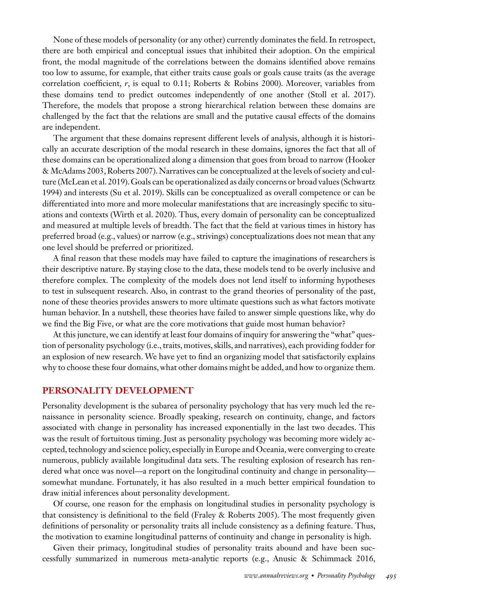None of these models of personality (or any other) currently dominates the field. In retrospect, there are both empirical and conceptual issues that inhibited their adoption. On the empirical front, the modal magnitude of the correlations between the domains identified above remains too low to assume, for example, that either traits cause goals or goals cause traits (as the average correlation coefficient, *r*, is equal to 0.11; Roberts & Robins 2000). Moreover, variables from these domains tend to predict outcomes independently of one another (Stoll et al. 2017). Therefore, the models that propose a strong hierarchical relation between these domains are challenged by the fact that the relations are small and the putative causal effects of the domains are independent.

The argument that these domains represent different levels of analysis, although it is historically an accurate description of the modal research in these domains, ignores the fact that all of these domains can be operationalized along a dimension that goes from broad to narrow (Hooker & McAdams 2003, Roberts 2007). Narratives can be conceptualized at the levels of society and culture (McLean et al. 2019).Goals can be operationalized as daily concerns or broad values (Schwartz 1994) and interests (Su et al. 2019). Skills can be conceptualized as overall competence or can be differentiated into more and more molecular manifestations that are increasingly specific to situations and contexts (Wirth et al. 2020). Thus, every domain of personality can be conceptualized and measured at multiple levels of breadth. The fact that the field at various times in history has preferred broad (e.g., values) or narrow (e.g., strivings) conceptualizations does not mean that any one level should be preferred or prioritized.

A final reason that these models may have failed to capture the imaginations of researchers is their descriptive nature. By staying close to the data, these models tend to be overly inclusive and therefore complex. The complexity of the models does not lend itself to informing hypotheses to test in subsequent research. Also, in contrast to the grand theories of personality of the past, none of these theories provides answers to more ultimate questions such as what factors motivate human behavior. In a nutshell, these theories have failed to answer simple questions like, why do we find the Big Five, or what are the core motivations that guide most human behavior?

At this juncture, we can identify at least four domains of inquiry for answering the "what" question of personality psychology (i.e., traits, motives, skills, and narratives), each providing fodder for an explosion of new research. We have yet to find an organizing model that satisfactorily explains why to choose these four domains, what other domains might be added, and how to organize them.

#### **PERSONALITY DEVELOPMENT**

Personality development is the subarea of personality psychology that has very much led the renaissance in personality science. Broadly speaking, research on continuity, change, and factors associated with change in personality has increased exponentially in the last two decades. This was the result of fortuitous timing. Just as personality psychology was becoming more widely accepted, technology and science policy, especially in Europe and Oceania, were converging to create numerous, publicly available longitudinal data sets. The resulting explosion of research has rendered what once was novel—a report on the longitudinal continuity and change in personality somewhat mundane. Fortunately, it has also resulted in a much better empirical foundation to draw initial inferences about personality development.

Of course, one reason for the emphasis on longitudinal studies in personality psychology is that consistency is definitional to the field (Fraley & Roberts 2005). The most frequently given definitions of personality or personality traits all include consistency as a defining feature. Thus, the motivation to examine longitudinal patterns of continuity and change in personality is high.

Given their primacy, longitudinal studies of personality traits abound and have been successfully summarized in numerous meta-analytic reports (e.g., Anusic & Schimmack 2016,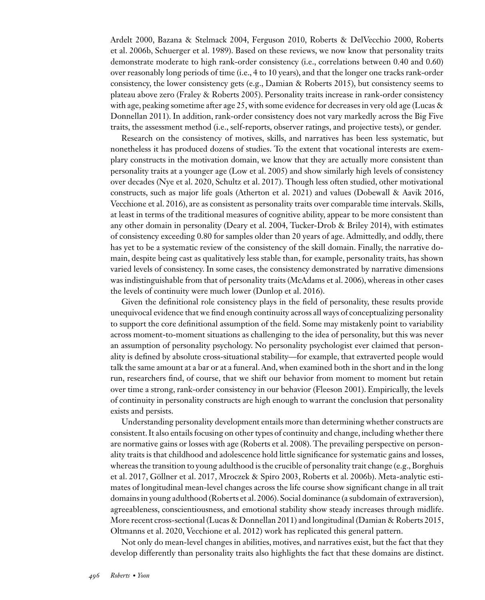Ardelt 2000, Bazana & Stelmack 2004, Ferguson 2010, Roberts & DelVecchio 2000, Roberts et al. 2006b, Schuerger et al. 1989). Based on these reviews, we now know that personality traits demonstrate moderate to high rank-order consistency (i.e., correlations between 0.40 and 0.60) over reasonably long periods of time (i.e., 4 to 10 years), and that the longer one tracks rank-order consistency, the lower consistency gets (e.g., Damian & Roberts 2015), but consistency seems to plateau above zero (Fraley & Roberts 2005). Personality traits increase in rank-order consistency with age, peaking sometime after age 25, with some evidence for decreases in very old age (Lucas & Donnellan 2011). In addition, rank-order consistency does not vary markedly across the Big Five traits, the assessment method (i.e., self-reports, observer ratings, and projective tests), or gender.

Research on the consistency of motives, skills, and narratives has been less systematic, but nonetheless it has produced dozens of studies. To the extent that vocational interests are exemplary constructs in the motivation domain, we know that they are actually more consistent than personality traits at a younger age (Low et al. 2005) and show similarly high levels of consistency over decades (Nye et al. 2020, Schultz et al. 2017). Though less often studied, other motivational constructs, such as major life goals (Atherton et al. 2021) and values (Dobewall & Aavik 2016, Vecchione et al. 2016), are as consistent as personality traits over comparable time intervals. Skills, at least in terms of the traditional measures of cognitive ability, appear to be more consistent than any other domain in personality (Deary et al. 2004, Tucker-Drob & Briley 2014), with estimates of consistency exceeding 0.80 for samples older than 20 years of age. Admittedly, and oddly, there has yet to be a systematic review of the consistency of the skill domain. Finally, the narrative domain, despite being cast as qualitatively less stable than, for example, personality traits, has shown varied levels of consistency. In some cases, the consistency demonstrated by narrative dimensions was indistinguishable from that of personality traits (McAdams et al. 2006), whereas in other cases the levels of continuity were much lower (Dunlop et al. 2016).

Given the definitional role consistency plays in the field of personality, these results provide unequivocal evidence that we find enough continuity across all ways of conceptualizing personality to support the core definitional assumption of the field. Some may mistakenly point to variability across moment-to-moment situations as challenging to the idea of personality, but this was never an assumption of personality psychology. No personality psychologist ever claimed that personality is defined by absolute cross-situational stability—for example, that extraverted people would talk the same amount at a bar or at a funeral. And, when examined both in the short and in the long run, researchers find, of course, that we shift our behavior from moment to moment but retain over time a strong, rank-order consistency in our behavior (Fleeson 2001). Empirically, the levels of continuity in personality constructs are high enough to warrant the conclusion that personality exists and persists.

Understanding personality development entails more than determining whether constructs are consistent. It also entails focusing on other types of continuity and change, including whether there are normative gains or losses with age (Roberts et al. 2008). The prevailing perspective on personality traits is that childhood and adolescence hold little significance for systematic gains and losses, whereas the transition to young adulthood is the crucible of personality trait change (e.g., Borghuis et al. 2017, Göllner et al. 2017, Mroczek & Spiro 2003, Roberts et al. 2006b). Meta-analytic estimates of longitudinal mean-level changes across the life course show significant change in all trait domains in young adulthood (Roberts et al. 2006). Social dominance (a subdomain of extraversion), agreeableness, conscientiousness, and emotional stability show steady increases through midlife. More recent cross-sectional (Lucas & Donnellan 2011) and longitudinal (Damian & Roberts 2015, Oltmanns et al. 2020, Vecchione et al. 2012) work has replicated this general pattern.

Not only do mean-level changes in abilities, motives, and narratives exist, but the fact that they develop differently than personality traits also highlights the fact that these domains are distinct.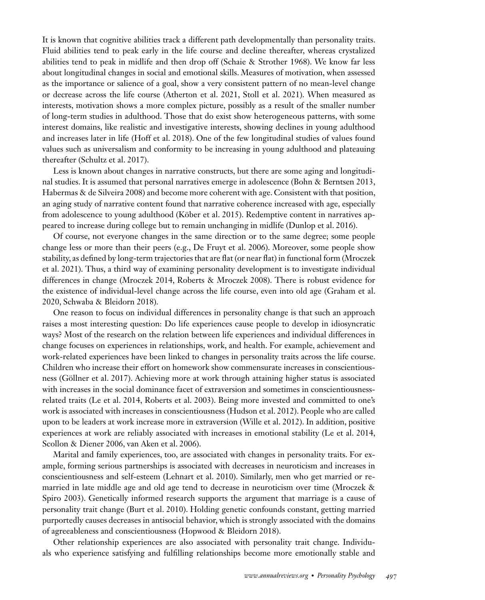It is known that cognitive abilities track a different path developmentally than personality traits. Fluid abilities tend to peak early in the life course and decline thereafter, whereas crystalized abilities tend to peak in midlife and then drop off (Schaie & Strother 1968). We know far less about longitudinal changes in social and emotional skills. Measures of motivation, when assessed as the importance or salience of a goal, show a very consistent pattern of no mean-level change or decrease across the life course (Atherton et al. 2021, Stoll et al. 2021). When measured as interests, motivation shows a more complex picture, possibly as a result of the smaller number of long-term studies in adulthood. Those that do exist show heterogeneous patterns, with some interest domains, like realistic and investigative interests, showing declines in young adulthood and increases later in life (Hoff et al. 2018). One of the few longitudinal studies of values found values such as universalism and conformity to be increasing in young adulthood and plateauing thereafter (Schultz et al. 2017).

Less is known about changes in narrative constructs, but there are some aging and longitudinal studies. It is assumed that personal narratives emerge in adolescence (Bohn & Berntsen 2013, Habermas & de Silveira 2008) and become more coherent with age. Consistent with that position, an aging study of narrative content found that narrative coherence increased with age, especially from adolescence to young adulthood (Köber et al. 2015). Redemptive content in narratives appeared to increase during college but to remain unchanging in midlife (Dunlop et al. 2016).

Of course, not everyone changes in the same direction or to the same degree; some people change less or more than their peers (e.g., De Fruyt et al. 2006). Moreover, some people show stability, as defined by long-term trajectories that are flat (or near flat) in functional form (Mroczek et al. 2021). Thus, a third way of examining personality development is to investigate individual differences in change (Mroczek 2014, Roberts & Mroczek 2008). There is robust evidence for the existence of individual-level change across the life course, even into old age (Graham et al. 2020, Schwaba & Bleidorn 2018).

One reason to focus on individual differences in personality change is that such an approach raises a most interesting question: Do life experiences cause people to develop in idiosyncratic ways? Most of the research on the relation between life experiences and individual differences in change focuses on experiences in relationships, work, and health. For example, achievement and work-related experiences have been linked to changes in personality traits across the life course. Children who increase their effort on homework show commensurate increases in conscientiousness (Göllner et al. 2017). Achieving more at work through attaining higher status is associated with increases in the social dominance facet of extraversion and sometimes in conscientiousnessrelated traits (Le et al. 2014, Roberts et al. 2003). Being more invested and committed to one's work is associated with increases in conscientiousness (Hudson et al. 2012). People who are called upon to be leaders at work increase more in extraversion (Wille et al. 2012). In addition, positive experiences at work are reliably associated with increases in emotional stability (Le et al. 2014, Scollon & Diener 2006, van Aken et al. 2006).

Marital and family experiences, too, are associated with changes in personality traits. For example, forming serious partnerships is associated with decreases in neuroticism and increases in conscientiousness and self-esteem (Lehnart et al. 2010). Similarly, men who get married or remarried in late middle age and old age tend to decrease in neuroticism over time (Mroczek & Spiro 2003). Genetically informed research supports the argument that marriage is a cause of personality trait change (Burt et al. 2010). Holding genetic confounds constant, getting married purportedly causes decreases in antisocial behavior, which is strongly associated with the domains of agreeableness and conscientiousness (Hopwood & Bleidorn 2018).

Other relationship experiences are also associated with personality trait change. Individuals who experience satisfying and fulfilling relationships become more emotionally stable and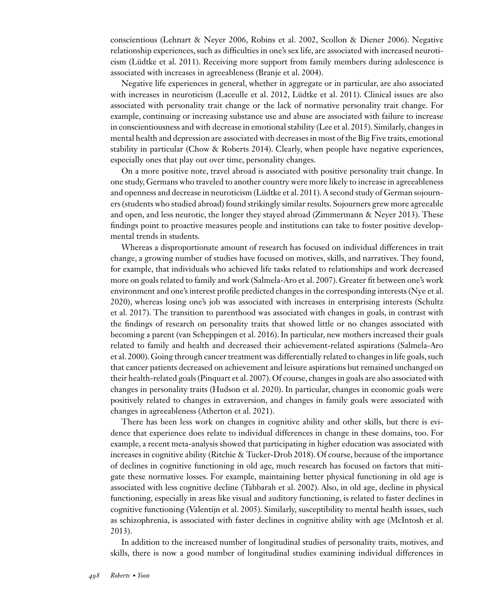conscientious (Lehnart & Neyer 2006, Robins et al. 2002, Scollon & Diener 2006). Negative relationship experiences, such as difficulties in one's sex life, are associated with increased neuroticism (Lüdtke et al. 2011). Receiving more support from family members during adolescence is associated with increases in agreeableness (Branje et al. 2004).

Negative life experiences in general, whether in aggregate or in particular, are also associated with increases in neuroticism (Laceulle et al. 2012, Lüdtke et al. 2011). Clinical issues are also associated with personality trait change or the lack of normative personality trait change. For example, continuing or increasing substance use and abuse are associated with failure to increase in conscientiousness and with decrease in emotional stability (Lee et al. 2015). Similarly, changes in mental health and depression are associated with decreases in most of the Big Five traits, emotional stability in particular (Chow & Roberts 2014). Clearly, when people have negative experiences, especially ones that play out over time, personality changes.

On a more positive note, travel abroad is associated with positive personality trait change. In one study, Germans who traveled to another country were more likely to increase in agreeableness and openness and decrease in neuroticism (Lüdtke et al. 2011). A second study of German sojourners (students who studied abroad) found strikingly similar results. Sojourners grew more agreeable and open, and less neurotic, the longer they stayed abroad (Zimmermann & Neyer 2013). These findings point to proactive measures people and institutions can take to foster positive developmental trends in students.

Whereas a disproportionate amount of research has focused on individual differences in trait change, a growing number of studies have focused on motives, skills, and narratives. They found, for example, that individuals who achieved life tasks related to relationships and work decreased more on goals related to family and work (Salmela-Aro et al. 2007). Greater fit between one's work environment and one's interest profile predicted changes in the corresponding interests (Nye et al. 2020), whereas losing one's job was associated with increases in enterprising interests (Schultz et al. 2017). The transition to parenthood was associated with changes in goals, in contrast with the findings of research on personality traits that showed little or no changes associated with becoming a parent (van Scheppingen et al. 2016). In particular, new mothers increased their goals related to family and health and decreased their achievement-related aspirations (Salmela-Aro et al. 2000). Going through cancer treatment was differentially related to changes in life goals, such that cancer patients decreased on achievement and leisure aspirations but remained unchanged on their health-related goals (Pinquart et al. 2007). Of course, changes in goals are also associated with changes in personality traits (Hudson et al. 2020). In particular, changes in economic goals were positively related to changes in extraversion, and changes in family goals were associated with changes in agreeableness (Atherton et al. 2021).

There has been less work on changes in cognitive ability and other skills, but there is evidence that experience does relate to individual differences in change in these domains, too. For example, a recent meta-analysis showed that participating in higher education was associated with increases in cognitive ability (Ritchie & Tucker-Drob 2018). Of course, because of the importance of declines in cognitive functioning in old age, much research has focused on factors that mitigate these normative losses. For example, maintaining better physical functioning in old age is associated with less cognitive decline (Tabbarah et al. 2002). Also, in old age, decline in physical functioning, especially in areas like visual and auditory functioning, is related to faster declines in cognitive functioning (Valentijn et al. 2005). Similarly, susceptibility to mental health issues, such as schizophrenia, is associated with faster declines in cognitive ability with age (McIntosh et al. 2013).

In addition to the increased number of longitudinal studies of personality traits, motives, and skills, there is now a good number of longitudinal studies examining individual differences in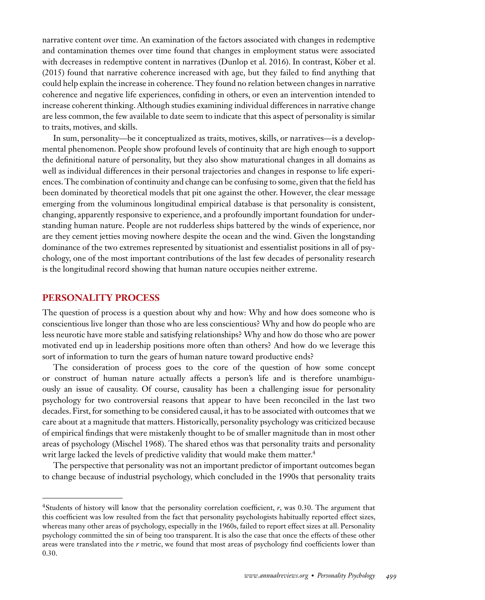narrative content over time. An examination of the factors associated with changes in redemptive and contamination themes over time found that changes in employment status were associated with decreases in redemptive content in narratives (Dunlop et al. 2016). In contrast, Köber et al. (2015) found that narrative coherence increased with age, but they failed to find anything that could help explain the increase in coherence. They found no relation between changes in narrative coherence and negative life experiences, confiding in others, or even an intervention intended to increase coherent thinking. Although studies examining individual differences in narrative change are less common, the few available to date seem to indicate that this aspect of personality is similar to traits, motives, and skills.

In sum, personality—be it conceptualized as traits, motives, skills, or narratives—is a developmental phenomenon. People show profound levels of continuity that are high enough to support the definitional nature of personality, but they also show maturational changes in all domains as well as individual differences in their personal trajectories and changes in response to life experiences. The combination of continuity and change can be confusing to some, given that the field has been dominated by theoretical models that pit one against the other. However, the clear message emerging from the voluminous longitudinal empirical database is that personality is consistent, changing, apparently responsive to experience, and a profoundly important foundation for understanding human nature. People are not rudderless ships battered by the winds of experience, nor are they cement jetties moving nowhere despite the ocean and the wind. Given the longstanding dominance of the two extremes represented by situationist and essentialist positions in all of psychology, one of the most important contributions of the last few decades of personality research is the longitudinal record showing that human nature occupies neither extreme.

#### **PERSONALITY PROCESS**

The question of process is a question about why and how: Why and how does someone who is conscientious live longer than those who are less conscientious? Why and how do people who are less neurotic have more stable and satisfying relationships? Why and how do those who are power motivated end up in leadership positions more often than others? And how do we leverage this sort of information to turn the gears of human nature toward productive ends?

The consideration of process goes to the core of the question of how some concept or construct of human nature actually affects a person's life and is therefore unambiguously an issue of causality. Of course, causality has been a challenging issue for personality psychology for two controversial reasons that appear to have been reconciled in the last two decades. First, for something to be considered causal, it has to be associated with outcomes that we care about at a magnitude that matters. Historically, personality psychology was criticized because of empirical findings that were mistakenly thought to be of smaller magnitude than in most other areas of psychology (Mischel 1968). The shared ethos was that personality traits and personality writ large lacked the levels of predictive validity that would make them matter.<sup>4</sup>

The perspective that personality was not an important predictor of important outcomes began to change because of industrial psychology, which concluded in the 1990s that personality traits

<sup>4</sup>Students of history will know that the personality correlation coefficient, *r*, was 0.30. The argument that this coefficient was low resulted from the fact that personality psychologists habitually reported effect sizes, whereas many other areas of psychology, especially in the 1960s, failed to report effect sizes at all. Personality psychology committed the sin of being too transparent. It is also the case that once the effects of these other areas were translated into the *r* metric, we found that most areas of psychology find coefficients lower than 0.30.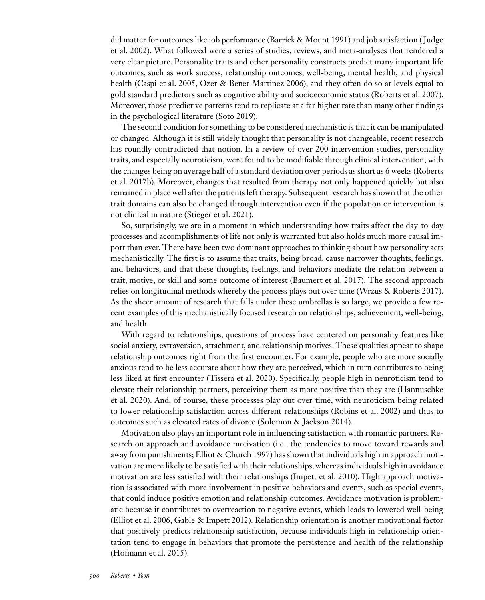did matter for outcomes like job performance (Barrick & Mount 1991) and job satisfaction ( Judge et al. 2002). What followed were a series of studies, reviews, and meta-analyses that rendered a very clear picture. Personality traits and other personality constructs predict many important life outcomes, such as work success, relationship outcomes, well-being, mental health, and physical health (Caspi et al. 2005, Ozer & Benet-Martinez 2006), and they often do so at levels equal to gold standard predictors such as cognitive ability and socioeconomic status (Roberts et al. 2007). Moreover, those predictive patterns tend to replicate at a far higher rate than many other findings in the psychological literature (Soto 2019).

The second condition for something to be considered mechanistic is that it can be manipulated or changed. Although it is still widely thought that personality is not changeable, recent research has roundly contradicted that notion. In a review of over 200 intervention studies, personality traits, and especially neuroticism, were found to be modifiable through clinical intervention, with the changes being on average half of a standard deviation over periods as short as 6 weeks (Roberts et al. 2017b). Moreover, changes that resulted from therapy not only happened quickly but also remained in place well after the patients left therapy. Subsequent research has shown that the other trait domains can also be changed through intervention even if the population or intervention is not clinical in nature (Stieger et al. 2021).

So, surprisingly, we are in a moment in which understanding how traits affect the day-to-day processes and accomplishments of life not only is warranted but also holds much more causal import than ever. There have been two dominant approaches to thinking about how personality acts mechanistically. The first is to assume that traits, being broad, cause narrower thoughts, feelings, and behaviors, and that these thoughts, feelings, and behaviors mediate the relation between a trait, motive, or skill and some outcome of interest (Baumert et al. 2017). The second approach relies on longitudinal methods whereby the process plays out over time (Wrzus & Roberts 2017). As the sheer amount of research that falls under these umbrellas is so large, we provide a few recent examples of this mechanistically focused research on relationships, achievement, well-being, and health.

With regard to relationships, questions of process have centered on personality features like social anxiety, extraversion, attachment, and relationship motives. These qualities appear to shape relationship outcomes right from the first encounter. For example, people who are more socially anxious tend to be less accurate about how they are perceived, which in turn contributes to being less liked at first encounter (Tissera et al. 2020). Specifically, people high in neuroticism tend to elevate their relationship partners, perceiving them as more positive than they are (Hannuschke et al. 2020). And, of course, these processes play out over time, with neuroticism being related to lower relationship satisfaction across different relationships (Robins et al. 2002) and thus to outcomes such as elevated rates of divorce (Solomon & Jackson 2014).

Motivation also plays an important role in influencing satisfaction with romantic partners. Research on approach and avoidance motivation (i.e., the tendencies to move toward rewards and away from punishments; Elliot & Church 1997) has shown that individuals high in approach motivation are more likely to be satisfied with their relationships, whereas individuals high in avoidance motivation are less satisfied with their relationships (Impett et al. 2010). High approach motivation is associated with more involvement in positive behaviors and events, such as special events, that could induce positive emotion and relationship outcomes. Avoidance motivation is problematic because it contributes to overreaction to negative events, which leads to lowered well-being (Elliot et al. 2006, Gable & Impett 2012). Relationship orientation is another motivational factor that positively predicts relationship satisfaction, because individuals high in relationship orientation tend to engage in behaviors that promote the persistence and health of the relationship (Hofmann et al. 2015).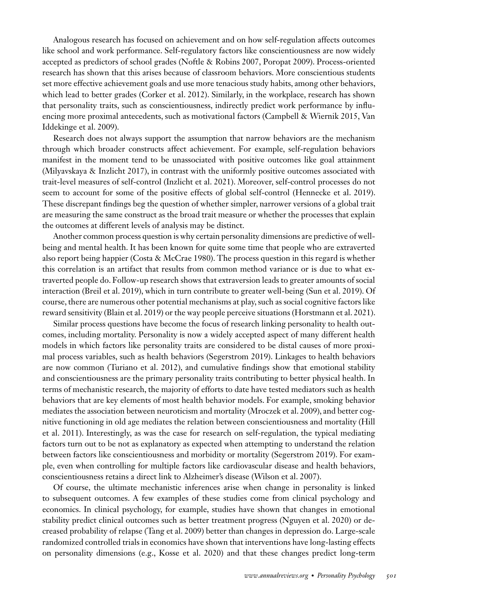Analogous research has focused on achievement and on how self-regulation affects outcomes like school and work performance. Self-regulatory factors like conscientiousness are now widely accepted as predictors of school grades (Noftle & Robins 2007, Poropat 2009). Process-oriented research has shown that this arises because of classroom behaviors. More conscientious students set more effective achievement goals and use more tenacious study habits, among other behaviors, which lead to better grades (Corker et al. 2012). Similarly, in the workplace, research has shown that personality traits, such as conscientiousness, indirectly predict work performance by influencing more proximal antecedents, such as motivational factors (Campbell & Wiernik 2015, Van Iddekinge et al. 2009).

Research does not always support the assumption that narrow behaviors are the mechanism through which broader constructs affect achievement. For example, self-regulation behaviors manifest in the moment tend to be unassociated with positive outcomes like goal attainment (Milyavskaya & Inzlicht 2017), in contrast with the uniformly positive outcomes associated with trait-level measures of self-control (Inzlicht et al. 2021). Moreover, self-control processes do not seem to account for some of the positive effects of global self-control (Hennecke et al. 2019). These discrepant findings beg the question of whether simpler, narrower versions of a global trait are measuring the same construct as the broad trait measure or whether the processes that explain the outcomes at different levels of analysis may be distinct.

Another common process question is why certain personality dimensions are predictive of wellbeing and mental health. It has been known for quite some time that people who are extraverted also report being happier (Costa & McCrae 1980). The process question in this regard is whether this correlation is an artifact that results from common method variance or is due to what extraverted people do. Follow-up research shows that extraversion leads to greater amounts of social interaction (Breil et al. 2019), which in turn contribute to greater well-being (Sun et al. 2019). Of course, there are numerous other potential mechanisms at play, such as social cognitive factors like reward sensitivity (Blain et al. 2019) or the way people perceive situations (Horstmann et al. 2021).

Similar process questions have become the focus of research linking personality to health outcomes, including mortality. Personality is now a widely accepted aspect of many different health models in which factors like personality traits are considered to be distal causes of more proximal process variables, such as health behaviors (Segerstrom 2019). Linkages to health behaviors are now common (Turiano et al. 2012), and cumulative findings show that emotional stability and conscientiousness are the primary personality traits contributing to better physical health. In terms of mechanistic research, the majority of efforts to date have tested mediators such as health behaviors that are key elements of most health behavior models. For example, smoking behavior mediates the association between neuroticism and mortality (Mroczek et al. 2009), and better cognitive functioning in old age mediates the relation between conscientiousness and mortality (Hill et al. 2011). Interestingly, as was the case for research on self-regulation, the typical mediating factors turn out to be not as explanatory as expected when attempting to understand the relation between factors like conscientiousness and morbidity or mortality (Segerstrom 2019). For example, even when controlling for multiple factors like cardiovascular disease and health behaviors, conscientiousness retains a direct link to Alzheimer's disease (Wilson et al. 2007).

Of course, the ultimate mechanistic inferences arise when change in personality is linked to subsequent outcomes. A few examples of these studies come from clinical psychology and economics. In clinical psychology, for example, studies have shown that changes in emotional stability predict clinical outcomes such as better treatment progress (Nguyen et al. 2020) or decreased probability of relapse (Tang et al. 2009) better than changes in depression do. Large-scale randomized controlled trials in economics have shown that interventions have long-lasting effects on personality dimensions (e.g., Kosse et al. 2020) and that these changes predict long-term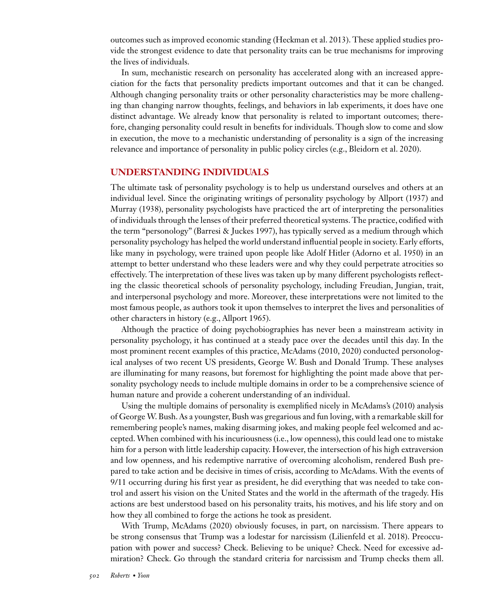outcomes such as improved economic standing (Heckman et al. 2013). These applied studies provide the strongest evidence to date that personality traits can be true mechanisms for improving the lives of individuals.

In sum, mechanistic research on personality has accelerated along with an increased appreciation for the facts that personality predicts important outcomes and that it can be changed. Although changing personality traits or other personality characteristics may be more challenging than changing narrow thoughts, feelings, and behaviors in lab experiments, it does have one distinct advantage. We already know that personality is related to important outcomes; therefore, changing personality could result in benefits for individuals. Though slow to come and slow in execution, the move to a mechanistic understanding of personality is a sign of the increasing relevance and importance of personality in public policy circles (e.g., Bleidorn et al. 2020).

#### **UNDERSTANDING INDIVIDUALS**

The ultimate task of personality psychology is to help us understand ourselves and others at an individual level. Since the originating writings of personality psychology by Allport (1937) and Murray (1938), personality psychologists have practiced the art of interpreting the personalities of individuals through the lenses of their preferred theoretical systems. The practice, codified with the term "personology" (Barresi & Juckes 1997), has typically served as a medium through which personality psychology has helped the world understand influential people in society. Early efforts, like many in psychology, were trained upon people like Adolf Hitler (Adorno et al. 1950) in an attempt to better understand who these leaders were and why they could perpetrate atrocities so effectively. The interpretation of these lives was taken up by many different psychologists reflecting the classic theoretical schools of personality psychology, including Freudian, Jungian, trait, and interpersonal psychology and more. Moreover, these interpretations were not limited to the most famous people, as authors took it upon themselves to interpret the lives and personalities of other characters in history (e.g., Allport 1965).

Although the practice of doing psychobiographies has never been a mainstream activity in personality psychology, it has continued at a steady pace over the decades until this day. In the most prominent recent examples of this practice, McAdams (2010, 2020) conducted personological analyses of two recent US presidents, George W. Bush and Donald Trump. These analyses are illuminating for many reasons, but foremost for highlighting the point made above that personality psychology needs to include multiple domains in order to be a comprehensive science of human nature and provide a coherent understanding of an individual.

Using the multiple domains of personality is exemplified nicely in McAdams's (2010) analysis of George W. Bush. As a youngster, Bush was gregarious and fun loving, with a remarkable skill for remembering people's names, making disarming jokes, and making people feel welcomed and accepted. When combined with his incuriousness (i.e., low openness), this could lead one to mistake him for a person with little leadership capacity. However, the intersection of his high extraversion and low openness, and his redemptive narrative of overcoming alcoholism, rendered Bush prepared to take action and be decisive in times of crisis, according to McAdams. With the events of 9/11 occurring during his first year as president, he did everything that was needed to take control and assert his vision on the United States and the world in the aftermath of the tragedy. His actions are best understood based on his personality traits, his motives, and his life story and on how they all combined to forge the actions he took as president.

With Trump, McAdams (2020) obviously focuses, in part, on narcissism. There appears to be strong consensus that Trump was a lodestar for narcissism (Lilienfeld et al. 2018). Preoccupation with power and success? Check. Believing to be unique? Check. Need for excessive admiration? Check. Go through the standard criteria for narcissism and Trump checks them all.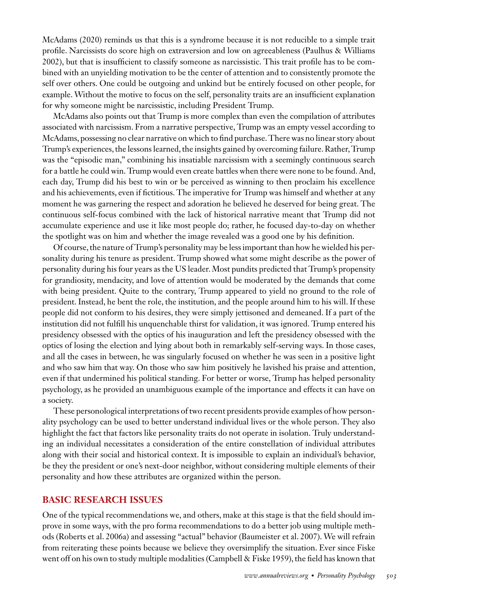McAdams (2020) reminds us that this is a syndrome because it is not reducible to a simple trait profile. Narcissists do score high on extraversion and low on agreeableness (Paulhus & Williams 2002), but that is insufficient to classify someone as narcissistic. This trait profile has to be combined with an unyielding motivation to be the center of attention and to consistently promote the self over others. One could be outgoing and unkind but be entirely focused on other people, for example. Without the motive to focus on the self, personality traits are an insufficient explanation for why someone might be narcissistic, including President Trump.

McAdams also points out that Trump is more complex than even the compilation of attributes associated with narcissism. From a narrative perspective, Trump was an empty vessel according to McAdams, possessing no clear narrative on which to find purchase. There was no linear story about Trump's experiences, the lessons learned, the insights gained by overcoming failure. Rather, Trump was the "episodic man," combining his insatiable narcissism with a seemingly continuous search for a battle he could win. Trump would even create battles when there were none to be found. And, each day, Trump did his best to win or be perceived as winning to then proclaim his excellence and his achievements, even if fictitious. The imperative for Trump was himself and whether at any moment he was garnering the respect and adoration he believed he deserved for being great. The continuous self-focus combined with the lack of historical narrative meant that Trump did not accumulate experience and use it like most people do; rather, he focused day-to-day on whether the spotlight was on him and whether the image revealed was a good one by his definition.

Of course, the nature of Trump's personality may be less important than how he wielded his personality during his tenure as president. Trump showed what some might describe as the power of personality during his four years as the US leader. Most pundits predicted that Trump's propensity for grandiosity, mendacity, and love of attention would be moderated by the demands that come with being president. Quite to the contrary, Trump appeared to yield no ground to the role of president. Instead, he bent the role, the institution, and the people around him to his will. If these people did not conform to his desires, they were simply jettisoned and demeaned. If a part of the institution did not fulfill his unquenchable thirst for validation, it was ignored. Trump entered his presidency obsessed with the optics of his inauguration and left the presidency obsessed with the optics of losing the election and lying about both in remarkably self-serving ways. In those cases, and all the cases in between, he was singularly focused on whether he was seen in a positive light and who saw him that way. On those who saw him positively he lavished his praise and attention, even if that undermined his political standing. For better or worse, Trump has helped personality psychology, as he provided an unambiguous example of the importance and effects it can have on a society.

These personological interpretations of two recent presidents provide examples of how personality psychology can be used to better understand individual lives or the whole person. They also highlight the fact that factors like personality traits do not operate in isolation. Truly understanding an individual necessitates a consideration of the entire constellation of individual attributes along with their social and historical context. It is impossible to explain an individual's behavior, be they the president or one's next-door neighbor, without considering multiple elements of their personality and how these attributes are organized within the person.

#### **BASIC RESEARCH ISSUES**

One of the typical recommendations we, and others, make at this stage is that the field should improve in some ways, with the pro forma recommendations to do a better job using multiple methods (Roberts et al. 2006a) and assessing "actual" behavior (Baumeister et al. 2007). We will refrain from reiterating these points because we believe they oversimplify the situation. Ever since Fiske went off on his own to study multiple modalities (Campbell & Fiske 1959), the field has known that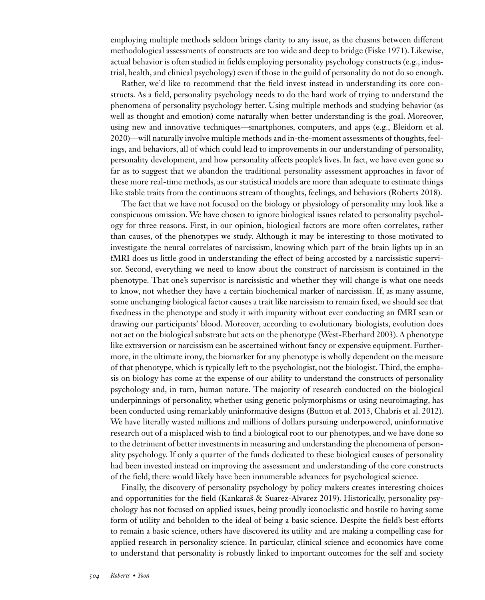employing multiple methods seldom brings clarity to any issue, as the chasms between different methodological assessments of constructs are too wide and deep to bridge (Fiske 1971). Likewise, actual behavior is often studied in fields employing personality psychology constructs (e.g., industrial, health, and clinical psychology) even if those in the guild of personality do not do so enough.

Rather, we'd like to recommend that the field invest instead in understanding its core constructs. As a field, personality psychology needs to do the hard work of trying to understand the phenomena of personality psychology better. Using multiple methods and studying behavior (as well as thought and emotion) come naturally when better understanding is the goal. Moreover, using new and innovative techniques—smartphones, computers, and apps (e.g., Bleidorn et al. 2020)—will naturally involve multiple methods and in-the-moment assessments of thoughts, feelings, and behaviors, all of which could lead to improvements in our understanding of personality, personality development, and how personality affects people's lives. In fact, we have even gone so far as to suggest that we abandon the traditional personality assessment approaches in favor of these more real-time methods, as our statistical models are more than adequate to estimate things like stable traits from the continuous stream of thoughts, feelings, and behaviors (Roberts 2018).

The fact that we have not focused on the biology or physiology of personality may look like a conspicuous omission. We have chosen to ignore biological issues related to personality psychology for three reasons. First, in our opinion, biological factors are more often correlates, rather than causes, of the phenotypes we study. Although it may be interesting to those motivated to investigate the neural correlates of narcissism, knowing which part of the brain lights up in an fMRI does us little good in understanding the effect of being accosted by a narcissistic supervisor. Second, everything we need to know about the construct of narcissism is contained in the phenotype. That one's supervisor is narcissistic and whether they will change is what one needs to know, not whether they have a certain biochemical marker of narcissism. If, as many assume, some unchanging biological factor causes a trait like narcissism to remain fixed, we should see that fixedness in the phenotype and study it with impunity without ever conducting an fMRI scan or drawing our participants' blood. Moreover, according to evolutionary biologists, evolution does not act on the biological substrate but acts on the phenotype (West-Eberhard 2003). A phenotype like extraversion or narcissism can be ascertained without fancy or expensive equipment. Furthermore, in the ultimate irony, the biomarker for any phenotype is wholly dependent on the measure of that phenotype, which is typically left to the psychologist, not the biologist. Third, the emphasis on biology has come at the expense of our ability to understand the constructs of personality psychology and, in turn, human nature. The majority of research conducted on the biological underpinnings of personality, whether using genetic polymorphisms or using neuroimaging, has been conducted using remarkably uninformative designs (Button et al. 2013, Chabris et al. 2012). We have literally wasted millions and millions of dollars pursuing underpowered, uninformative research out of a misplaced wish to find a biological root to our phenotypes, and we have done so to the detriment of better investments in measuring and understanding the phenomena of personality psychology. If only a quarter of the funds dedicated to these biological causes of personality had been invested instead on improving the assessment and understanding of the core constructs of the field, there would likely have been innumerable advances for psychological science.

Finally, the discovery of personality psychology by policy makers creates interesting choices and opportunities for the field (Kankaraš & Suarez-Alvarez 2019). Historically, personality psychology has not focused on applied issues, being proudly iconoclastic and hostile to having some form of utility and beholden to the ideal of being a basic science. Despite the field's best efforts to remain a basic science, others have discovered its utility and are making a compelling case for applied research in personality science. In particular, clinical science and economics have come to understand that personality is robustly linked to important outcomes for the self and society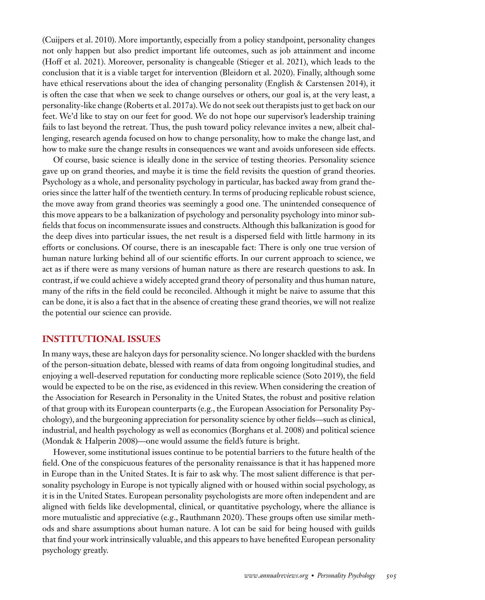(Cuijpers et al. 2010). More importantly, especially from a policy standpoint, personality changes not only happen but also predict important life outcomes, such as job attainment and income (Hoff et al. 2021). Moreover, personality is changeable (Stieger et al. 2021), which leads to the conclusion that it is a viable target for intervention (Bleidorn et al. 2020). Finally, although some have ethical reservations about the idea of changing personality (English & Carstensen 2014), it is often the case that when we seek to change ourselves or others, our goal is, at the very least, a personality-like change (Roberts et al. 2017a).We do not seek out therapists just to get back on our feet. We'd like to stay on our feet for good. We do not hope our supervisor's leadership training fails to last beyond the retreat. Thus, the push toward policy relevance invites a new, albeit challenging, research agenda focused on how to change personality, how to make the change last, and how to make sure the change results in consequences we want and avoids unforeseen side effects.

Of course, basic science is ideally done in the service of testing theories. Personality science gave up on grand theories, and maybe it is time the field revisits the question of grand theories. Psychology as a whole, and personality psychology in particular, has backed away from grand theories since the latter half of the twentieth century. In terms of producing replicable robust science, the move away from grand theories was seemingly a good one. The unintended consequence of this move appears to be a balkanization of psychology and personality psychology into minor subfields that focus on incommensurate issues and constructs. Although this balkanization is good for the deep dives into particular issues, the net result is a dispersed field with little harmony in its efforts or conclusions. Of course, there is an inescapable fact: There is only one true version of human nature lurking behind all of our scientific efforts. In our current approach to science, we act as if there were as many versions of human nature as there are research questions to ask. In contrast, if we could achieve a widely accepted grand theory of personality and thus human nature, many of the rifts in the field could be reconciled. Although it might be naive to assume that this can be done, it is also a fact that in the absence of creating these grand theories, we will not realize the potential our science can provide.

#### **INSTITUTIONAL ISSUES**

In many ways, these are halcyon days for personality science. No longer shackled with the burdens of the person-situation debate, blessed with reams of data from ongoing longitudinal studies, and enjoying a well-deserved reputation for conducting more replicable science (Soto 2019), the field would be expected to be on the rise, as evidenced in this review. When considering the creation of the Association for Research in Personality in the United States, the robust and positive relation of that group with its European counterparts (e.g., the European Association for Personality Psychology), and the burgeoning appreciation for personality science by other fields—such as clinical, industrial, and health psychology as well as economics (Borghans et al. 2008) and political science (Mondak & Halperin 2008)—one would assume the field's future is bright.

However, some institutional issues continue to be potential barriers to the future health of the field. One of the conspicuous features of the personality renaissance is that it has happened more in Europe than in the United States. It is fair to ask why. The most salient difference is that personality psychology in Europe is not typically aligned with or housed within social psychology, as it is in the United States. European personality psychologists are more often independent and are aligned with fields like developmental, clinical, or quantitative psychology, where the alliance is more mutualistic and appreciative (e.g., Rauthmann 2020). These groups often use similar methods and share assumptions about human nature. A lot can be said for being housed with guilds that find your work intrinsically valuable, and this appears to have benefited European personality psychology greatly.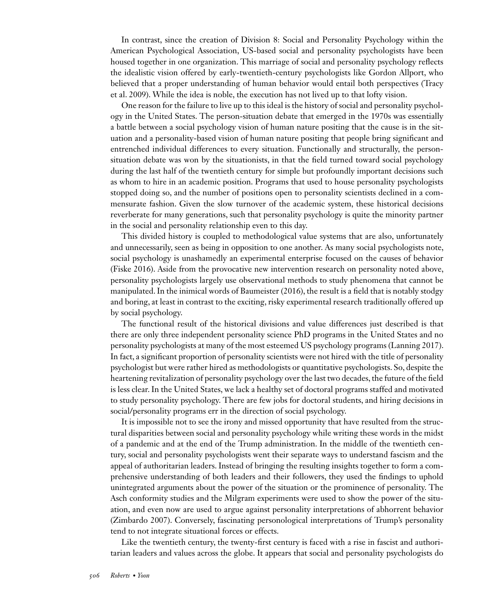In contrast, since the creation of Division 8: Social and Personality Psychology within the American Psychological Association, US-based social and personality psychologists have been housed together in one organization. This marriage of social and personality psychology reflects the idealistic vision offered by early-twentieth-century psychologists like Gordon Allport, who believed that a proper understanding of human behavior would entail both perspectives (Tracy et al. 2009). While the idea is noble, the execution has not lived up to that lofty vision.

One reason for the failure to live up to this ideal is the history of social and personality psychology in the United States. The person-situation debate that emerged in the 1970s was essentially a battle between a social psychology vision of human nature positing that the cause is in the situation and a personality-based vision of human nature positing that people bring significant and entrenched individual differences to every situation. Functionally and structurally, the personsituation debate was won by the situationists, in that the field turned toward social psychology during the last half of the twentieth century for simple but profoundly important decisions such as whom to hire in an academic position. Programs that used to house personality psychologists stopped doing so, and the number of positions open to personality scientists declined in a commensurate fashion. Given the slow turnover of the academic system, these historical decisions reverberate for many generations, such that personality psychology is quite the minority partner in the social and personality relationship even to this day.

This divided history is coupled to methodological value systems that are also, unfortunately and unnecessarily, seen as being in opposition to one another. As many social psychologists note, social psychology is unashamedly an experimental enterprise focused on the causes of behavior (Fiske 2016). Aside from the provocative new intervention research on personality noted above, personality psychologists largely use observational methods to study phenomena that cannot be manipulated. In the inimical words of Baumeister (2016), the result is a field that is notably stodgy and boring, at least in contrast to the exciting, risky experimental research traditionally offered up by social psychology.

The functional result of the historical divisions and value differences just described is that there are only three independent personality science PhD programs in the United States and no personality psychologists at many of the most esteemed US psychology programs (Lanning 2017). In fact, a significant proportion of personality scientists were not hired with the title of personality psychologist but were rather hired as methodologists or quantitative psychologists. So, despite the heartening revitalization of personality psychology over the last two decades, the future of the field is less clear. In the United States, we lack a healthy set of doctoral programs staffed and motivated to study personality psychology. There are few jobs for doctoral students, and hiring decisions in social/personality programs err in the direction of social psychology.

It is impossible not to see the irony and missed opportunity that have resulted from the structural disparities between social and personality psychology while writing these words in the midst of a pandemic and at the end of the Trump administration. In the middle of the twentieth century, social and personality psychologists went their separate ways to understand fascism and the appeal of authoritarian leaders. Instead of bringing the resulting insights together to form a comprehensive understanding of both leaders and their followers, they used the findings to uphold unintegrated arguments about the power of the situation or the prominence of personality. The Asch conformity studies and the Milgram experiments were used to show the power of the situation, and even now are used to argue against personality interpretations of abhorrent behavior (Zimbardo 2007). Conversely, fascinating personological interpretations of Trump's personality tend to not integrate situational forces or effects.

Like the twentieth century, the twenty-first century is faced with a rise in fascist and authoritarian leaders and values across the globe. It appears that social and personality psychologists do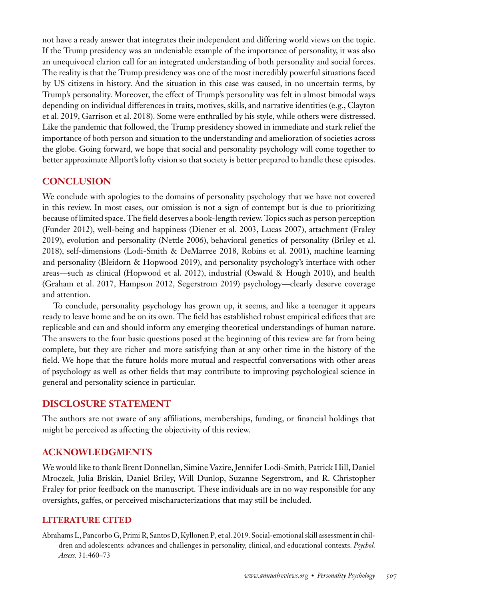not have a ready answer that integrates their independent and differing world views on the topic. If the Trump presidency was an undeniable example of the importance of personality, it was also an unequivocal clarion call for an integrated understanding of both personality and social forces. The reality is that the Trump presidency was one of the most incredibly powerful situations faced by US citizens in history. And the situation in this case was caused, in no uncertain terms, by Trump's personality. Moreover, the effect of Trump's personality was felt in almost bimodal ways depending on individual differences in traits, motives, skills, and narrative identities (e.g., Clayton et al. 2019, Garrison et al. 2018). Some were enthralled by his style, while others were distressed. Like the pandemic that followed, the Trump presidency showed in immediate and stark relief the importance of both person and situation to the understanding and amelioration of societies across the globe. Going forward, we hope that social and personality psychology will come together to better approximate Allport's lofty vision so that society is better prepared to handle these episodes.

#### **CONCLUSION**

We conclude with apologies to the domains of personality psychology that we have not covered in this review. In most cases, our omission is not a sign of contempt but is due to prioritizing because of limited space. The field deserves a book-length review. Topics such as person perception (Funder 2012), well-being and happiness (Diener et al. 2003, Lucas 2007), attachment (Fraley 2019), evolution and personality (Nettle 2006), behavioral genetics of personality (Briley et al. 2018), self-dimensions (Lodi-Smith & DeMarree 2018, Robins et al. 2001), machine learning and personality (Bleidorn & Hopwood 2019), and personality psychology's interface with other areas—such as clinical (Hopwood et al. 2012), industrial (Oswald & Hough 2010), and health (Graham et al. 2017, Hampson 2012, Segerstrom 2019) psychology—clearly deserve coverage and attention.

To conclude, personality psychology has grown up, it seems, and like a teenager it appears ready to leave home and be on its own. The field has established robust empirical edifices that are replicable and can and should inform any emerging theoretical understandings of human nature. The answers to the four basic questions posed at the beginning of this review are far from being complete, but they are richer and more satisfying than at any other time in the history of the field. We hope that the future holds more mutual and respectful conversations with other areas of psychology as well as other fields that may contribute to improving psychological science in general and personality science in particular.

#### **DISCLOSURE STATEMENT**

The authors are not aware of any affiliations, memberships, funding, or financial holdings that might be perceived as affecting the objectivity of this review.

#### **ACKNOWLEDGMENTS**

We would like to thank Brent Donnellan, Simine Vazire, Jennifer Lodi-Smith, Patrick Hill, Daniel Mroczek, Julia Briskin, Daniel Briley, Will Dunlop, Suzanne Segerstrom, and R. Christopher Fraley for prior feedback on the manuscript. These individuals are in no way responsible for any oversights, gaffes, or perceived mischaracterizations that may still be included.

#### **LITERATURE CITED**

Abrahams L, Pancorbo G, Primi R, Santos D, Kyllonen P, et al. 2019. Social-emotional skill assessment in children and adolescents: advances and challenges in personality, clinical, and educational contexts. *Psychol. Assess.* 31:460–73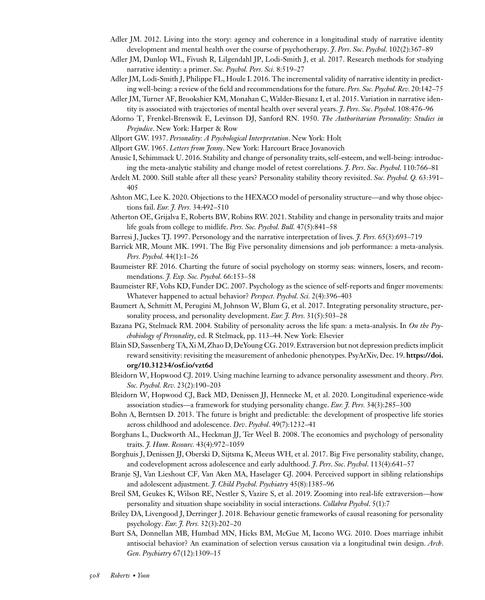- Adler JM. 2012. Living into the story: agency and coherence in a longitudinal study of narrative identity development and mental health over the course of psychotherapy. *J*. *Pers*. *Soc*. *Psychol*. 102(2):367–89
- Adler JM, Dunlop WL, Fivush R, Lilgendahl JP, Lodi-Smith J, et al. 2017. Research methods for studying narrative identity: a primer. *Soc. Psychol. Pers. Sci.* 8:519–27
- Adler JM, Lodi-Smith J, Philippe FL, Houle I. 2016. The incremental validity of narrative identity in predicting well-being: a review of the field and recommendations for the future. *Pers. Soc. Psychol. Rev.* 20:142–75
- Adler JM, Turner AF, Brookshier KM, Monahan C, Walder-Biesanz I, et al. 2015. Variation in narrative identity is associated with trajectories of mental health over several years. *J*. *Pers*. *Soc*. *Psychol*. 108:476–96
- Adorno T, Frenkel-Brenswik E, Levinson DJ, Sanford RN. 1950. *The Authoritarian Personality: Studies in Prejudice*. New York: Harper & Row
- Allport GW. 1937. *Personality: A Psychological Interpretation*. New York: Holt
- Allport GW. 1965. *Letters from Jenny*. New York: Harcourt Brace Jovanovich
- Anusic I, Schimmack U. 2016. Stability and change of personality traits, self-esteem, and well-being: introducing the meta-analytic stability and change model of retest correlations. *J*. *Pers*. *Soc*. *Psychol*. 110:766–81
- Ardelt M. 2000. Still stable after all these years? Personality stability theory revisited. *Soc. Psychol. Q.* 63:391– 405
- Ashton MC, Lee K. 2020. Objections to the HEXACO model of personality structure—and why those objections fail. *Eur. J. Pers.* 34:492–510
- Atherton OE, Grijalva E, Roberts BW, Robins RW. 2021. Stability and change in personality traits and major life goals from college to midlife. *Pers. Soc. Psychol. Bull.* 47(5):841–58
- Barresi J, Juckes TJ. 1997. Personology and the narrative interpretation of lives. *J. Pers.* 65(3):693–719
- Barrick MR, Mount MK. 1991. The Big Five personality dimensions and job performance: a meta-analysis. *Pers. Psychol.* 44(1):1–26
- Baumeister RF. 2016. Charting the future of social psychology on stormy seas: winners, losers, and recommendations. *J. Exp. Soc. Psychol.* 66:153–58
- Baumeister RF, Vohs KD, Funder DC. 2007. Psychology as the science of self-reports and finger movements: Whatever happened to actual behavior? *Perspect. Psychol. Sci.* 2(4):396–403
- Baumert A, Schmitt M, Perugini M, Johnson W, Blum G, et al. 2017. Integrating personality structure, personality process, and personality development. *Eur. J. Pers.* 31(5):503–28
- Bazana PG, Stelmack RM. 2004. Stability of personality across the life span: a meta-analysis. In *On the Psychobiology of Personality*, ed. R Stelmack, pp. 113–44. New York: Elsevier
- Blain SD, Sassenberg TA, Xi M, Zhao D, DeYoung CG. 2019. Extraversion but not depression predicts implicit reward sensitivity: revisiting the measurement of anhedonic phenotypes. PsyArXiv, Dec. 19. **https://doi. org/10.31234/osf.io/vzt6d**
- Bleidorn W, Hopwood CJ. 2019. Using machine learning to advance personality assessment and theory. *Pers. Soc. Psychol. Rev.* 23(2):190–203
- Bleidorn W, Hopwood CJ, Back MD, Denissen JJ, Hennecke M, et al. 2020. Longitudinal experience-wide association studies—a framework for studying personality change. *Eur. J. Pers.* 34(3):285–300
- Bohn A, Berntsen D. 2013. The future is bright and predictable: the development of prospective life stories across childhood and adolescence. *Dev*. *Psychol*. 49(7):1232–41
- Borghans L, Duckworth AL, Heckman JJ, Ter Weel B. 2008. The economics and psychology of personality traits. *J. Hum. Resourc.* 43(4):972–1059
- Borghuis J, Denissen JJ, Oberski D, Sijtsma K, Meeus WH, et al. 2017. Big Five personality stability, change, and codevelopment across adolescence and early adulthood. *J*. *Pers*. *Soc*. *Psychol*. 113(4):641–57
- Branje SJ, Van Lieshout CF, Van Aken MA, Haselager GJ. 2004. Perceived support in sibling relationships and adolescent adjustment. *J. Child Psychol. Psychiatry* 45(8):1385–96
- Breil SM, Geukes K, Wilson RE, Nestler S, Vazire S, et al. 2019. Zooming into real-life extraversion—how personality and situation shape sociability in social interactions. *Collabra Psychol*. 5(1):7
- Briley DA, Livengood J, Derringer J. 2018. Behaviour genetic frameworks of causal reasoning for personality psychology. *Eur. J. Pers.* 32(3):202–20
- Burt SA, Donnellan MB, Humbad MN, Hicks BM, McGue M, Iacono WG. 2010. Does marriage inhibit antisocial behavior? An examination of selection versus causation via a longitudinal twin design. *Arch*. *Gen. Psychiatry* 67(12):1309–15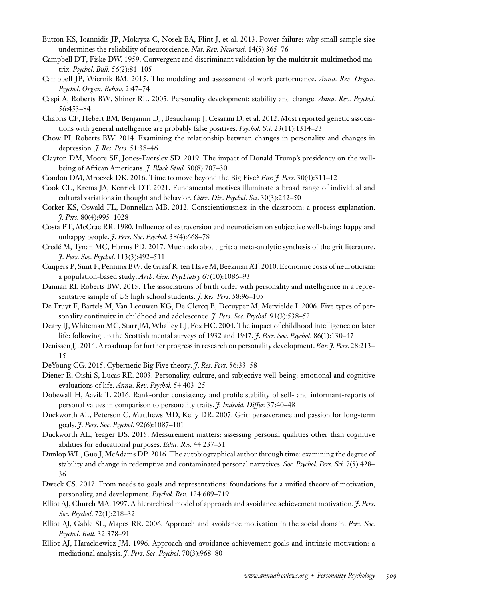- Button KS, Ioannidis JP, Mokrysz C, Nosek BA, Flint J, et al. 2013. Power failure: why small sample size undermines the reliability of neuroscience. *Nat. Rev. Neurosci.* 14(5):365–76
- Campbell DT, Fiske DW. 1959. Convergent and discriminant validation by the multitrait-multimethod matrix. *Psychol. Bull.* 56(2):81–105
- Campbell JP, Wiernik BM. 2015. The modeling and assessment of work performance. *Annu. Rev. Organ. Psychol. Organ. Behav.* 2:47–74
- Caspi A, Roberts BW, Shiner RL. 2005. Personality development: stability and change. *Annu. Rev. Psychol.* 56:453–84
- Chabris CF, Hebert BM, Benjamin DJ, Beauchamp J, Cesarini D, et al. 2012. Most reported genetic associations with general intelligence are probably false positives. *Psychol. Sci.* 23(11):1314–23
- Chow PI, Roberts BW. 2014. Examining the relationship between changes in personality and changes in depression. *J. Res. Pers.* 51:38–46
- Clayton DM, Moore SE, Jones-Eversley SD. 2019. The impact of Donald Trump's presidency on the wellbeing of African Americans. *J. Black Stud.* 50(8):707–30
- Condon DM, Mroczek DK. 2016. Time to move beyond the Big Five? *Eur. J. Pers.* 30(4):311–12
- Cook CL, Krems JA, Kenrick DT. 2021. Fundamental motives illuminate a broad range of individual and cultural variations in thought and behavior. *Curr*. *Dir*. *Psychol*. *Sci*. 30(3):242–50
- Corker KS, Oswald FL, Donnellan MB. 2012. Conscientiousness in the classroom: a process explanation. *J. Pers.* 80(4):995–1028
- Costa PT, McCrae RR. 1980. Influence of extraversion and neuroticism on subjective well-being: happy and unhappy people. *J*. *Pers*. *Soc*. *Psychol*. 38(4):668–78
- Credé M, Tynan MC, Harms PD. 2017. Much ado about grit: a meta-analytic synthesis of the grit literature. *J*. *Pers*. *Soc*. *Psychol*. 113(3):492–511
- Cuijpers P, Smit F, Penninx BW, de Graaf R, ten Have M, Beekman AT. 2010. Economic costs of neuroticism: a population-based study. *Arch. Gen. Psychiatry* 67(10):1086–93
- Damian RI, Roberts BW. 2015. The associations of birth order with personality and intelligence in a representative sample of US high school students. *J. Res. Pers.* 58:96–105
- De Fruyt F, Bartels M, Van Leeuwen KG, De Clercq B, Decuyper M, Mervielde I. 2006. Five types of personality continuity in childhood and adolescence. *J*. *Pers*. *Soc*. *Psychol*. 91(3):538–52
- Deary IJ,Whiteman MC, Starr JM,Whalley LJ, Fox HC. 2004. The impact of childhood intelligence on later life: following up the Scottish mental surveys of 1932 and 1947. *J*. *Pers*. *Soc*. *Psychol*. 86(1):130–47
- Denissen JJ. 2014. A roadmap for further progress in research on personality development. *Eur. J. Pers.* 28:213– 15
- DeYoung CG. 2015. Cybernetic Big Five theory. *J*. *Res*. *Pers*. 56:33–58
- Diener E, Oishi S, Lucas RE. 2003. Personality, culture, and subjective well-being: emotional and cognitive evaluations of life. *Annu. Rev. Psychol.* 54:403–25
- Dobewall H, Aavik T. 2016. Rank-order consistency and profile stability of self- and informant-reports of personal values in comparison to personality traits. *J. Individ. Differ.* 37:40–48
- Duckworth AL, Peterson C, Matthews MD, Kelly DR. 2007. Grit: perseverance and passion for long-term goals. *J*. *Pers*. *Soc*. *Psychol*. 92(6):1087–101
- Duckworth AL, Yeager DS. 2015. Measurement matters: assessing personal qualities other than cognitive abilities for educational purposes. *Educ. Res.* 44:237–51
- Dunlop WL, Guo J, McAdams DP. 2016. The autobiographical author through time: examining the degree of stability and change in redemptive and contaminated personal narratives. *Soc. Psychol. Pers. Sci.* 7(5):428– 36
- Dweck CS. 2017. From needs to goals and representations: foundations for a unified theory of motivation, personality, and development. *Psychol. Rev.* 124:689–719
- Elliot AJ, Church MA. 1997. A hierarchical model of approach and avoidance achievement motivation. *J*. *Pers*. *Soc*. *Psychol*. 72(1):218–32
- Elliot AJ, Gable SL, Mapes RR. 2006. Approach and avoidance motivation in the social domain. *Pers. Soc. Psychol. Bull.* 32:378–91
- Elliot AJ, Harackiewicz JM. 1996. Approach and avoidance achievement goals and intrinsic motivation: a mediational analysis. *J*. *Pers*. *Soc*. *Psychol*. 70(3):968–80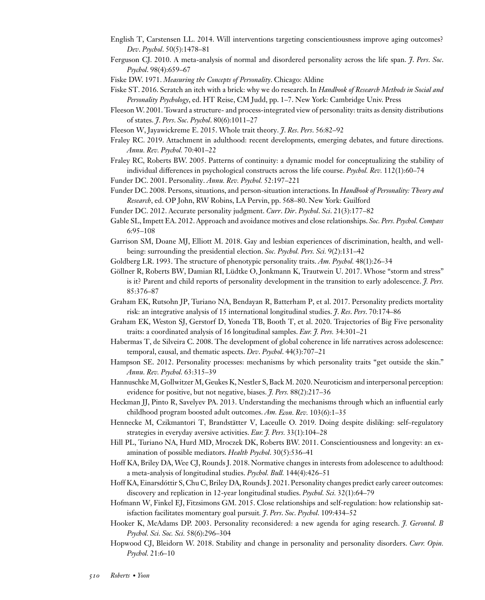- English T, Carstensen LL. 2014. Will interventions targeting conscientiousness improve aging outcomes? *Dev*. *Psychol*. 50(5):1478–81
- Ferguson CJ. 2010. A meta-analysis of normal and disordered personality across the life span. *J*. *Pers*. *Soc*. *Psychol*. 98(4):659–67
- Fiske DW. 1971. *Measuring the Concepts of Personality*. Chicago: Aldine
- Fiske ST. 2016. Scratch an itch with a brick: why we do research. In *Handbook of Research Methods in Social and Personality Psychology*, ed. HT Reise, CM Judd, pp. 1–7. New York: Cambridge Univ. Press
- Fleeson W. 2001. Toward a structure- and process-integrated view of personality: traits as density distributions of states. *J*. *Pers*. *Soc*. *Psychol*. 80(6):1011–27
- Fleeson W, Jayawickreme E. 2015. Whole trait theory. *J*. *Res*. *Pers*. 56:82–92
- Fraley RC. 2019. Attachment in adulthood: recent developments, emerging debates, and future directions. *Annu. Rev. Psychol.* 70:401–22
- Fraley RC, Roberts BW. 2005. Patterns of continuity: a dynamic model for conceptualizing the stability of individual differences in psychological constructs across the life course. *Psychol. Rev.* 112(1):60–74

Funder DC. 2001. Personality. *Annu. Rev. Psychol.* 52:197–221

- Funder DC. 2008. Persons, situations, and person-situation interactions. In *Handbook of Personality: Theory and Research*, ed. OP John, RW Robins, LA Pervin, pp. 568–80. New York: Guilford
- Funder DC. 2012. Accurate personality judgment. *Curr*. *Dir*. *Psychol*. *Sci*. 21(3):177–82
- Gable SL, Impett EA. 2012. Approach and avoidance motives and close relationships. *Soc. Pers. Psychol. Compass* 6:95–108
- Garrison SM, Doane MJ, Elliott M. 2018. Gay and lesbian experiences of discrimination, health, and wellbeing: surrounding the presidential election. *Soc. Psychol. Pers. Sci.* 9(2):131–42
- Goldberg LR. 1993. The structure of phenotypic personality traits. *Am. Psychol.* 48(1):26–34
- Göllner R, Roberts BW, Damian RI, Lüdtke O, Jonkmann K, Trautwein U. 2017. Whose "storm and stress" is it? Parent and child reports of personality development in the transition to early adolescence. *J. Pers.* 85:376–87
- Graham EK, Rutsohn JP, Turiano NA, Bendayan R, Batterham P, et al. 2017. Personality predicts mortality risk: an integrative analysis of 15 international longitudinal studies. *J*. *Res*. *Pers*. 70:174–86
- Graham EK, Weston SJ, Gerstorf D, Yoneda TB, Booth T, et al. 2020. Trajectories of Big Five personality traits: a coordinated analysis of 16 longitudinal samples. *Eur. J. Pers.* 34:301–21
- Habermas T, de Silveira C. 2008. The development of global coherence in life narratives across adolescence: temporal, causal, and thematic aspects. *Dev*. *Psychol*. 44(3):707–21
- Hampson SE. 2012. Personality processes: mechanisms by which personality traits "get outside the skin." *Annu. Rev. Psychol.* 63:315–39
- Hannuschke M, Gollwitzer M, Geukes K, Nestler S, Back M. 2020. Neuroticism and interpersonal perception: evidence for positive, but not negative, biases. *J. Pers.* 88(2):217–36
- Heckman JJ, Pinto R, Savelyev PA. 2013. Understanding the mechanisms through which an influential early childhood program boosted adult outcomes. *Am. Econ. Rev.* 103(6):1–35
- Hennecke M, Czikmantori T, Brandstätter V, Laceulle O. 2019. Doing despite disliking: self–regulatory strategies in everyday aversive activities. *Eur. J. Pers.* 33(1):104–28
- Hill PL, Turiano NA, Hurd MD, Mroczek DK, Roberts BW. 2011. Conscientiousness and longevity: an examination of possible mediators. *Health Psychol*. 30(5):536–41
- Hoff KA, Briley DA, Wee CJ, Rounds J. 2018. Normative changes in interests from adolescence to adulthood: a meta-analysis of longitudinal studies. *Psychol. Bull.* 144(4):426–51
- Hoff KA, Einarsdóttir S, Chu C, Briley DA, Rounds J. 2021. Personality changes predict early career outcomes: discovery and replication in 12-year longitudinal studies. *Psychol. Sci.* 32(1):64–79
- Hofmann W, Finkel EJ, Fitzsimons GM. 2015. Close relationships and self-regulation: how relationship satisfaction facilitates momentary goal pursuit*. J*. *Pers*. *Soc*. *Psychol*. 109:434–52
- Hooker K, McAdams DP. 2003. Personality reconsidered: a new agenda for aging research. *J. Gerontol. B Psychol. Sci. Soc. Sci.* 58(6):296–304
- Hopwood CJ, Bleidorn W. 2018. Stability and change in personality and personality disorders. *Curr. Opin. Psychol.* 21:6–10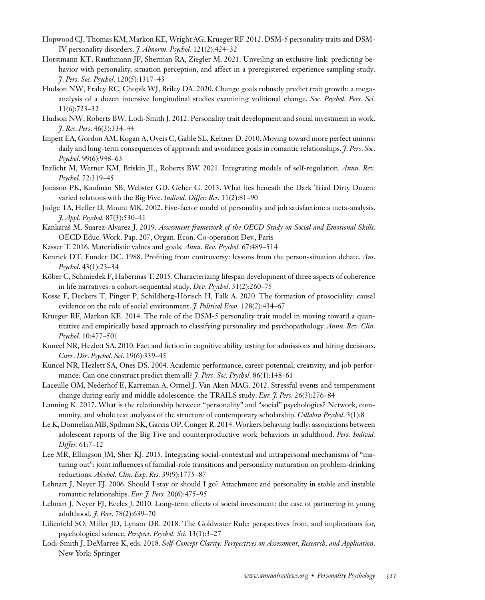- Hopwood CJ, Thomas KM, Markon KE,Wright AG, Krueger RF. 2012. DSM-5 personality traits and DSM-IV personality disorders. *J. Abnorm. Psychol.* 121(2):424–32
- Horstmann KT, Rauthmann JF, Sherman RA, Ziegler M. 2021. Unveiling an exclusive link: predicting behavior with personality, situation perception, and affect in a preregistered experience sampling study. *J*. *Pers*. *Soc*. *Psychol*. 120(5):1317–43
- Hudson NW, Fraley RC, Chopik WJ, Briley DA. 2020. Change goals robustly predict trait growth: a megaanalysis of a dozen intensive longitudinal studies examining volitional change. *Soc. Psychol. Pers. Sci.* 11(6):723–32
- Hudson NW, Roberts BW, Lodi-Smith J. 2012. Personality trait development and social investment in work. *J*. *Res*. *Pers*. 46(3):334–44
- Impett EA, Gordon AM, Kogan A, Oveis C, Gable SL, Keltner D. 2010. Moving toward more perfect unions: daily and long-term consequences of approach and avoidance goals in romantic relationships. *J*. *Pers*. *Soc*. *Psychol*. 99(6):948–63
- Inzlicht M, Werner KM, Briskin JL, Roberts BW. 2021. Integrating models of self-regulation. *Annu. Rev. Psychol.* 72:319–45
- Jonason PK, Kaufman SB, Webster GD, Geher G. 2013. What lies beneath the Dark Triad Dirty Dozen: varied relations with the Big Five. *Individ. Differ. Res.* 11(2):81–90
- Judge TA, Heller D, Mount MK. 2002. Five-factor model of personality and job satisfaction: a meta-analysis. *J. Appl. Psychol.* 87(3):530–41
- Kankaraš M, Suarez-Alvarez J. 2019. *Assessment framework of the OECD Study on Social and Emotional Skills*. OECD Educ. Work. Pap. 207, Organ. Econ. Co-operation Dev., Paris
- Kasser T. 2016. Materialistic values and goals. *Annu. Rev. Psychol.* 67:489–514
- Kenrick DT, Funder DC. 1988. Profiting from controversy: lessons from the person-situation debate. *Am*. *Psychol*. 43(1):23–34
- Köber C, Schmiedek F, Habermas T. 2015. Characterizing lifespan development of three aspects of coherence in life narratives: a cohort-sequential study. *Dev*. *Psychol*. 51(2):260–75
- Kosse F, Deckers T, Pinger P, Schildberg-Hörisch H, Falk A. 2020. The formation of prosociality: causal evidence on the role of social environment. *J. Political Econ.* 128(2):434–67
- Krueger RF, Markon KE. 2014. The role of the DSM-5 personality trait model in moving toward a quantitative and empirically based approach to classifying personality and psychopathology. *Annu. Rev. Clin. Psychol.* 10:477–501
- Kuncel NR, Hezlett SA. 2010. Fact and fiction in cognitive ability testing for admissions and hiring decisions. *Curr*. *Dir*. *Psychol*. *Sci*. 19(6):339–45
- Kuncel NR, Hezlett SA, Ones DS. 2004. Academic performance, career potential, creativity, and job performance: Can one construct predict them all? *J*. *Pers*. *Soc*. *Psychol*. 86(1):148–61
- Laceulle OM, Nederhof E, Karreman A, Ormel J, Van Aken MAG. 2012. Stressful events and temperament change during early and middle adolescence: the TRAILS study. *Eur. J. Pers.* 26(3):276–84
- Lanning K. 2017. What is the relationship between "personality" and "social" psychologies? Network, community, and whole text analyses of the structure of contemporary scholarship. *Collabra Psychol*. 3(1):8
- Le K, Donnellan MB, Spilman SK, Garcia OP, Conger R. 2014.Workers behaving badly: associations between adolescent reports of the Big Five and counterproductive work behaviors in adulthood. *Pers. Individ. Differ.* 61:7–12
- Lee MR, Ellingson JM, Sher KJ. 2015. Integrating social-contextual and intrapersonal mechanisms of "maturing out": joint influences of familial-role transitions and personality maturation on problem-drinking reductions. *Alcohol. Clin. Exp. Res.* 39(9):1775–87
- Lehnart J, Neyer FJ. 2006. Should I stay or should I go? Attachment and personality in stable and instable romantic relationships. *Eur. J. Pers.* 20(6):475–95
- Lehnart J, Neyer FJ, Eccles J. 2010. Long-term effects of social investment: the case of partnering in young adulthood. *J. Pers.* 78(2):639–70
- Lilienfeld SO, Miller JD, Lynam DR. 2018. The Goldwater Rule: perspectives from, and implications for, psychological science. *Perspect. Psychol. Sci.* 13(1):3–27
- Lodi-Smith J, DeMarree K, eds. 2018. *Self-Concept Clarity: Perspectives on Assessment, Research, and Application*. New York: Springer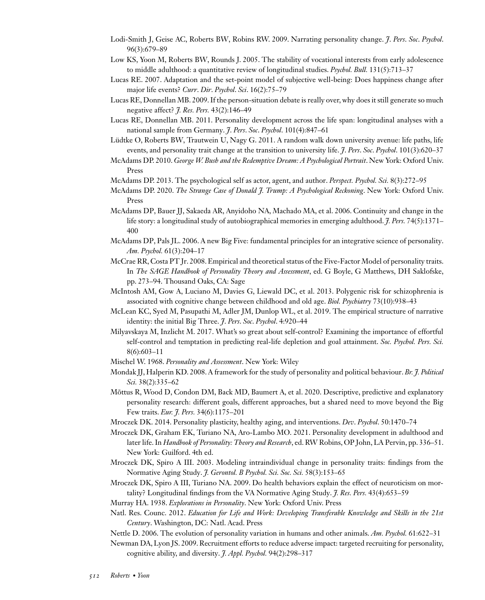- Lodi-Smith J, Geise AC, Roberts BW, Robins RW. 2009. Narrating personality change. *J*. *Pers*. *Soc*. *Psychol*. 96(3):679–89
- Low KS, Yoon M, Roberts BW, Rounds J. 2005. The stability of vocational interests from early adolescence to middle adulthood: a quantitative review of longitudinal studies. *Psychol. Bull.* 131(5):713–37
- Lucas RE. 2007. Adaptation and the set-point model of subjective well-being: Does happiness change after major life events? *Curr*. *Dir*. *Psychol*. *Sci*. 16(2):75–79
- Lucas RE, Donnellan MB. 2009. If the person-situation debate is really over, why does it still generate so much negative affect? *J. Res. Pers.* 43(2):146–49
- Lucas RE, Donnellan MB. 2011. Personality development across the life span: longitudinal analyses with a national sample from Germany. *J*. *Pers*. *Soc*. *Psychol*. 101(4):847–61
- Lüdtke O, Roberts BW, Trautwein U, Nagy G. 2011. A random walk down university avenue: life paths, life events, and personality trait change at the transition to university life. *J*. *Pers*. *Soc*. *Psychol*. 101(3):620–37
- McAdams DP. 2010. *George W. Bush and the Redemptive Dream: A Psychological Portrait*. New York: Oxford Univ. Press
- McAdams DP. 2013. The psychological self as actor, agent, and author. *Perspect. Psychol. Sci.* 8(3):272–95
- McAdams DP. 2020. *The Strange Case of Donald J. Trump: A Psychological Reckoning*. New York: Oxford Univ. Press
- McAdams DP, Bauer JJ, Sakaeda AR, Anyidoho NA, Machado MA, et al. 2006. Continuity and change in the life story: a longitudinal study of autobiographical memories in emerging adulthood. *J. Pers.* 74(5):1371– 400
- McAdams DP, Pals JL. 2006. A new Big Five: fundamental principles for an integrative science of personality. *Am. Psychol.* 61(3):204–17
- McCrae RR, Costa PT Jr. 2008. Empirical and theoretical status of the Five-Factor Model of personality traits. In *The SAGE Handbook of Personality Theory and Assessment*, ed. G Boyle, G Matthews, DH Saklofske, pp. 273–94. Thousand Oaks, CA: Sage
- McIntosh AM, Gow A, Luciano M, Davies G, Liewald DC, et al. 2013. Polygenic risk for schizophrenia is associated with cognitive change between childhood and old age. *Biol. Psychiatry* 73(10):938–43
- McLean KC, Syed M, Pasupathi M, Adler JM, Dunlop WL, et al. 2019. The empirical structure of narrative identity: the initial Big Three. *J*. *Pers*. *Soc*. *Psychol*. 4:920–44
- Milyavskaya M, Inzlicht M. 2017. What's so great about self-control? Examining the importance of effortful self-control and temptation in predicting real-life depletion and goal attainment. *Soc. Psychol. Pers. Sci.* 8(6):603–11
- Mischel W. 1968. *Personality and Assessment*. New York: Wiley
- Mondak JJ, Halperin KD. 2008. A framework for the study of personality and political behaviour. *Br. J. Political Sci.* 38(2):335–62
- Mõttus R, Wood D, Condon DM, Back MD, Baumert A, et al. 2020. Descriptive, predictive and explanatory personality research: different goals, different approaches, but a shared need to move beyond the Big Few traits. *Eur. J. Pers.* 34(6):1175–201
- Mroczek DK. 2014. Personality plasticity, healthy aging, and interventions. *Dev*. *Psychol*. 50:1470–74
- Mroczek DK, Graham EK, Turiano NA, Aro-Lambo MO. 2021. Personality development in adulthood and later life. In *Handbook of Personality: Theory and Research*, ed. RW Robins, OP John, LA Pervin, pp. 336–51. New York: Guilford. 4th ed.
- Mroczek DK, Spiro A III. 2003. Modeling intraindividual change in personality traits: findings from the Normative Aging Study. *J. Gerontol. B Psychol. Sci. Soc. Sci.* 58(3):153–65
- Mroczek DK, Spiro A III, Turiano NA. 2009. Do health behaviors explain the effect of neuroticism on mortality? Longitudinal findings from the VA Normative Aging Study. *J. Res. Pers.* 43(4):653–59

Murray HA. 1938. *Explorations in Personality*. New York: Oxford Univ. Press

- Natl. Res. Counc. 2012. *Education for Life and Work: Developing Transferable Knowledge and Skills in the 21st Century*. Washington, DC: Natl. Acad. Press
- Nettle D. 2006. The evolution of personality variation in humans and other animals. *Am. Psychol.* 61:622–31

Newman DA, Lyon JS. 2009. Recruitment efforts to reduce adverse impact: targeted recruiting for personality, cognitive ability, and diversity. *J. Appl. Psychol.* 94(2):298–317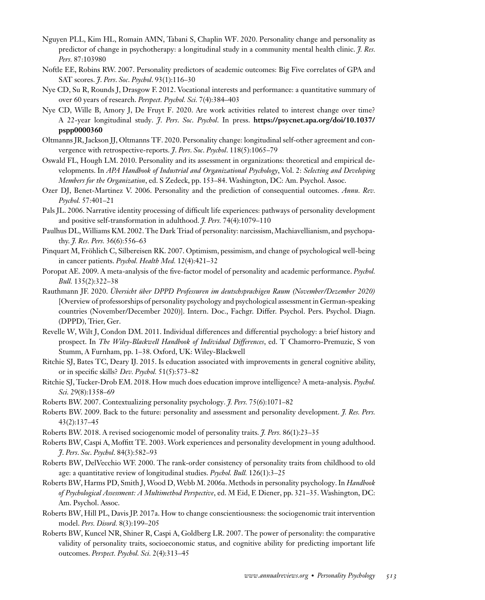- Nguyen PLL, Kim HL, Romain AMN, Tabani S, Chaplin WF. 2020. Personality change and personality as predictor of change in psychotherapy: a longitudinal study in a community mental health clinic. *J. Res. Pers.* 87:103980
- Noftle EE, Robins RW. 2007. Personality predictors of academic outcomes: Big Five correlates of GPA and SAT scores. *J*. *Pers*. *Soc*. *Psychol*. 93(1):116–30
- Nye CD, Su R, Rounds J, Drasgow F. 2012. Vocational interests and performance: a quantitative summary of over 60 years of research. *Perspect. Psychol. Sci.* 7(4):384–403
- Nye CD, Wille B, Amory J, De Fruyt F. 2020. Are work activities related to interest change over time? A 22-year longitudinal study. *J*. *Pers*. *Soc*. *Psychol*. In press. **https://psycnet.apa.org/doi/10.1037/ pspp0000360**
- Oltmanns JR, Jackson JJ, Oltmanns TF. 2020. Personality change: longitudinal self-other agreement and convergence with retrospective-reports. *J*. *Pers*. *Soc*. *Psychol*. 118(5):1065–79
- Oswald FL, Hough LM. 2010. Personality and its assessment in organizations: theoretical and empirical developments. In *APA Handbook of Industrial and Organizational Psychology*, Vol. 2: *Selecting and Developing Members for the Organization*, ed. S Zedeck, pp. 153–84. Washington, DC: Am. Psychol. Assoc.
- Ozer DJ, Benet-Martinez V. 2006. Personality and the prediction of consequential outcomes. *Annu. Rev. Psychol.* 57:401–21
- Pals JL. 2006. Narrative identity processing of difficult life experiences: pathways of personality development and positive self-transformation in adulthood. *J. Pers.* 74(4):1079–110
- Paulhus DL,Williams KM. 2002. The Dark Triad of personality: narcissism, Machiavellianism, and psychopathy. *J. Res. Pers.* 36(6):556–63
- Pinquart M, Fröhlich C, Silbereisen RK. 2007. Optimism, pessimism, and change of psychological well-being in cancer patients. *Psychol. Health Med.* 12(4):421–32
- Poropat AE. 2009. A meta-analysis of the five-factor model of personality and academic performance. *Psychol. Bull.* 135(2):322–38
- Rauthmann JF. 2020. *Übersicht über DPPD Professuren im deutschsprachigen Raum (November/Dezember 2020)* [Overview of professorships of personality psychology and psychological assessment in German-speaking countries (November/December 2020)]. Intern. Doc., Fachgr. Differ. Psychol. Pers. Psychol. Diagn. (DPPD), Trier, Ger.
- Revelle W, Wilt J, Condon DM. 2011. Individual differences and differential psychology: a brief history and prospect. In *The Wiley-Blackwell Handbook of Individual Differences*, ed. T Chamorro-Premuzic, S von Stumm, A Furnham, pp. 1–38. Oxford, UK: Wiley-Blackwell
- Ritchie SJ, Bates TC, Deary IJ. 2015. Is education associated with improvements in general cognitive ability, or in specific skills? *Dev. Psychol.* 51(5):573–82
- Ritchie SJ, Tucker-Drob EM. 2018. How much does education improve intelligence? A meta-analysis. *Psychol. Sci.* 29(8):1358–69
- Roberts BW. 2007. Contextualizing personality psychology. *J. Pers.* 75(6):1071–82
- Roberts BW. 2009. Back to the future: personality and assessment and personality development. *J. Res. Pers.* 43(2):137–45
- Roberts BW. 2018. A revised sociogenomic model of personality traits. *J. Pers.* 86(1):23–35
- Roberts BW, Caspi A, Moffitt TE. 2003. Work experiences and personality development in young adulthood. *J*. *Pers*. *Soc*. *Psychol*. 84(3):582–93
- Roberts BW, DelVecchio WF. 2000. The rank-order consistency of personality traits from childhood to old age: a quantitative review of longitudinal studies. *Psychol. Bull.* 126(1):3–25
- Roberts BW, Harms PD, Smith J,Wood D, Webb M. 2006a. Methods in personality psychology. In *Handbook of Psychological Assessment: A Multimethod Perspective*, ed. M Eid, E Diener, pp. 321–35. Washington, DC: Am. Psychol. Assoc.
- Roberts BW, Hill PL, Davis JP. 2017a. How to change conscientiousness: the sociogenomic trait intervention model. *Pers. Disord.* 8(3):199–205
- Roberts BW, Kuncel NR, Shiner R, Caspi A, Goldberg LR. 2007. The power of personality: the comparative validity of personality traits, socioeconomic status, and cognitive ability for predicting important life outcomes. *Perspect. Psychol. Sci.* 2(4):313–45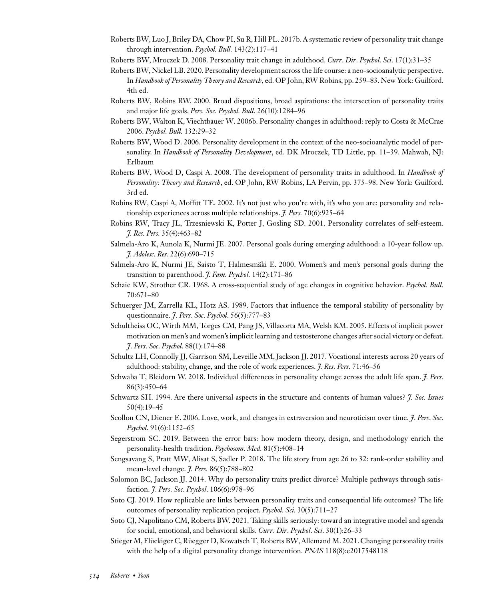- Roberts BW, Luo J, Briley DA, Chow PI, Su R, Hill PL. 2017b. A systematic review of personality trait change through intervention. *Psychol. Bull.* 143(2):117–41
- Roberts BW, Mroczek D. 2008. Personality trait change in adulthood. *Curr*. *Dir*. *Psychol*. *Sci*. 17(1):31–35
- Roberts BW, Nickel LB. 2020. Personality development across the life course: a neo-socioanalytic perspective. In *Handbook of Personality Theory and Research*, ed. OP John, RW Robins, pp. 259–83. New York: Guilford. 4th ed.
- Roberts BW, Robins RW. 2000. Broad dispositions, broad aspirations: the intersection of personality traits and major life goals. *Pers. Soc. Psychol. Bull.* 26(10):1284–96
- Roberts BW, Walton K, Viechtbauer W. 2006b. Personality changes in adulthood: reply to Costa & McCrae 2006. *Psychol. Bull.* 132:29–32
- Roberts BW, Wood D. 2006. Personality development in the context of the neo-socioanalytic model of personality. In *Handbook of Personality Development*, ed. DK Mroczek, TD Little, pp. 11–39. Mahwah, NJ: Erlbaum
- Roberts BW, Wood D, Caspi A. 2008. The development of personality traits in adulthood. In *Handbook of Personality: Theory and Research*, ed. OP John, RW Robins, LA Pervin, pp. 375–98. New York: Guilford. 3rd ed.
- Robins RW, Caspi A, Moffitt TE. 2002. It's not just who you're with, it's who you are: personality and relationship experiences across multiple relationships. *J. Pers.* 70(6):925–64
- Robins RW, Tracy JL, Trzesniewski K, Potter J, Gosling SD. 2001. Personality correlates of self-esteem. *J. Res. Pers.* 35(4):463–82
- Salmela-Aro K, Aunola K, Nurmi JE. 2007. Personal goals during emerging adulthood: a 10-year follow up. *J. Adolesc. Res.* 22(6):690–715
- Salmela-Aro K, Nurmi JE, Saisto T, Halmesmäki E. 2000. Women's and men's personal goals during the transition to parenthood. *J. Fam. Psychol.* 14(2):171–86
- Schaie KW, Strother CR. 1968. A cross-sequential study of age changes in cognitive behavior. *Psychol. Bull.* 70:671–80
- Schuerger JM, Zarrella KL, Hotz AS. 1989. Factors that influence the temporal stability of personality by questionnaire. *J*. *Pers*. *Soc*. *Psychol*. 56(5):777–83
- Schultheiss OC, Wirth MM, Torges CM, Pang JS, Villacorta MA, Welsh KM. 2005. Effects of implicit power motivation on men's and women's implicit learning and testosterone changes after social victory or defeat. *J*. *Pers*. *Soc*. *Psychol*. 88(1):174–88
- Schultz LH, Connolly JJ, Garrison SM, Leveille MM, Jackson JJ. 2017. Vocational interests across 20 years of adulthood: stability, change, and the role of work experiences. *J. Res. Pers.* 71:46–56
- Schwaba T, Bleidorn W. 2018. Individual differences in personality change across the adult life span. *J. Pers.* 86(3):450–64
- Schwartz SH. 1994. Are there universal aspects in the structure and contents of human values? *J. Soc. Issues* 50(4):19–45
- Scollon CN, Diener E. 2006. Love, work, and changes in extraversion and neuroticism over time. *J*. *Pers*. *Soc*. *Psychol*. 91(6):1152–65
- Segerstrom SC. 2019. Between the error bars: how modern theory, design, and methodology enrich the personality-health tradition. *Psychosom. Med.* 81(5):408–14
- Sengsavang S, Pratt MW, Alisat S, Sadler P. 2018. The life story from age 26 to 32: rank-order stability and mean-level change. *J. Pers.* 86(5):788–802
- Solomon BC, Jackson JJ. 2014. Why do personality traits predict divorce? Multiple pathways through satisfaction. *J*. *Pers*. *Soc*. *Psychol*. 106(6):978–96
- Soto CJ. 2019. How replicable are links between personality traits and consequential life outcomes? The life outcomes of personality replication project. *Psychol. Sci.* 30(5):711–27
- Soto CJ, Napolitano CM, Roberts BW. 2021. Taking skills seriously: toward an integrative model and agenda for social, emotional, and behavioral skills. *Curr*. *Dir*. *Psychol*. *Sci*. 30(1):26–33
- Stieger M, Flückiger C, Rüegger D, Kowatsch T, Roberts BW, Allemand M. 2021. Changing personality traits with the help of a digital personality change intervention. *PNAS* 118(8):e2017548118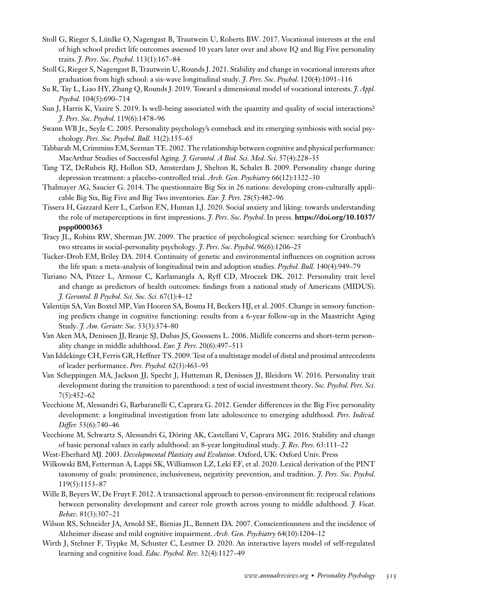- Stoll G, Rieger S, Lütdke O, Nagengast B, Trautwein U, Roberts BW. 2017. Vocational interests at the end of high school predict life outcomes assessed 10 years later over and above IQ and Big Five personality traits. *J*. *Pers*. *Soc*. *Psychol*. 113(1):167–84
- Stoll G, Rieger S, Nagengast B, Trautwein U, Rounds J. 2021. Stability and change in vocational interests after graduation from high school: a six-wave longitudinal study. *J*. *Pers*. *Soc*. *Psychol*. 120(4):1091–116
- Su R, Tay L, Liao HY, Zhang Q, Rounds J. 2019. Toward a dimensional model of vocational interests. *J. Appl. Psychol.* 104(5):690–714
- Sun J, Harris K, Vazire S. 2019. Is well-being associated with the quantity and quality of social interactions? *J*. *Pers*. *Soc*. *Psychol*. 119(6):1478–96
- Swann WB Jr., Seyle C. 2005. Personality psychology's comeback and its emerging symbiosis with social psychology. *Pers. Soc. Psychol. Bull.* 31(2):155–65
- Tabbarah M, Crimmins EM, Seeman TE. 2002. The relationship between cognitive and physical performance: MacArthur Studies of Successful Aging. *J. Gerontol. A Biol. Sci. Med. Sci.* 57(4):228–35
- Tang TZ, DeRubeis RJ, Hollon SD, Amsterdam J, Shelton R, Schalet B. 2009. Personality change during depression treatment: a placebo-controlled trial. *Arch. Gen. Psychiatry* 66(12):1322–30
- Thalmayer AG, Saucier G. 2014. The questionnaire Big Six in 26 nations: developing cross-culturally applicable Big Six, Big Five and Big Two inventories. *Eur. J. Pers.* 28(5):482–96
- Tissera H, Gazzard Kerr L, Carlson EN, Human LJ. 2020. Social anxiety and liking: towards understanding the role of metaperceptions in first impressions. *J*. *Pers*. *Soc*. *Psychol*. In press. **https://doi.org/10.1037/ pspp0000363**
- Tracy JL, Robins RW, Sherman JW. 2009. The practice of psychological science: searching for Cronbach's two streams in social-personality psychology. *J*. *Pers*. *Soc*. *Psychol*. 96(6):1206–25
- Tucker-Drob EM, Briley DA. 2014. Continuity of genetic and environmental influences on cognition across the life span: a meta-analysis of longitudinal twin and adoption studies. *Psychol. Bull.* 140(4):949–79
- Turiano NA, Pitzer L, Armour C, Karlamangla A, Ryff CD, Mroczek DK. 2012. Personality trait level and change as predictors of health outcomes: findings from a national study of Americans (MIDUS). *J. Gerontol. B Psychol. Sci. Soc. Sci.* 67(1):4–12
- Valentijn SA, Van Boxtel MP, Van Hooren SA, Bosma H, Beckers HJ, et al. 2005. Change in sensory functioning predicts change in cognitive functioning: results from a 6-year follow-up in the Maastricht Aging Study. *J. Am. Geriatr. Soc.* 53(3):374–80
- Van Aken MA, Denissen JJ, Branje SJ, Dubas JS, Goossens L. 2006. Midlife concerns and short-term personality change in middle adulthood. *Eur. J. Pers.* 20(6):497–513
- Van Iddekinge CH, Ferris GR, Heffner TS. 2009. Test of a multistage model of distal and proximal antecedents of leader performance. *Pers. Psychol.* 62(3):463–95
- Van Scheppingen MA, Jackson JJ, Specht J, Hutteman R, Denissen JJ, Bleidorn W. 2016. Personality trait development during the transition to parenthood: a test of social investment theory. *Soc. Psychol. Pers. Sci.* 7(5):452–62
- Vecchione M, Alessandri G, Barbaranelli C, Caprara G. 2012. Gender differences in the Big Five personality development: a longitudinal investigation from late adolescence to emerging adulthood. *Pers. Individ. Differ.* 53(6):740–46
- Vecchione M, Schwartz S, Alessandri G, Döring AK, Castellani V, Caprara MG. 2016. Stability and change of basic personal values in early adulthood: an 8-year longitudinal study. *J. Res. Pers.* 63:111–22
- West-Eberhard MJ. 2003. *Developmental Plasticity and Evolution*. Oxford, UK: Oxford Univ. Press
- Wilkowski BM, Fetterman A, Lappi SK, Williamson LZ, Leki EF, et al. 2020. Lexical derivation of the PINT taxonomy of goals: prominence, inclusiveness, negativity prevention, and tradition. *J*. *Pers*. *Soc*. *Psychol*. 119(5):1153–87
- Wille B, Beyers W, De Fruyt F. 2012. A transactional approach to person-environment fit: reciprocal relations between personality development and career role growth across young to middle adulthood. *J. Vocat. Behav.* 81(3):307–21
- Wilson RS, Schneider JA, Arnold SE, Bienias JL, Bennett DA. 2007. Conscientiousness and the incidence of Alzheimer disease and mild cognitive impairment. *Arch. Gen. Psychiatry* 64(10):1204–12
- Wirth J, Stebner F, Trypke M, Schuster C, Leutner D. 2020. An interactive layers model of self-regulated learning and cognitive load. *Educ. Psychol. Rev.* 32(4):1127–49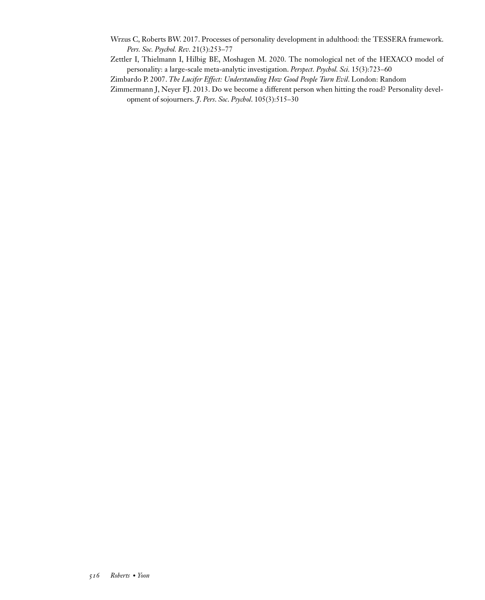- Wrzus C, Roberts BW. 2017. Processes of personality development in adulthood: the TESSERA framework. *Pers. Soc. Psychol. Rev.* 21(3):253–77
- Zettler I, Thielmann I, Hilbig BE, Moshagen M. 2020. The nomological net of the HEXACO model of personality: a large-scale meta-analytic investigation. *Perspect. Psychol. Sci.* 15(3):723–60

Zimbardo P. 2007. *The Lucifer Effect: Understanding How Good People Turn Evil*. London: Random

Zimmermann J, Neyer FJ. 2013. Do we become a different person when hitting the road? Personality development of sojourners. *J*. *Pers*. *Soc*. *Psychol*. 105(3):515–30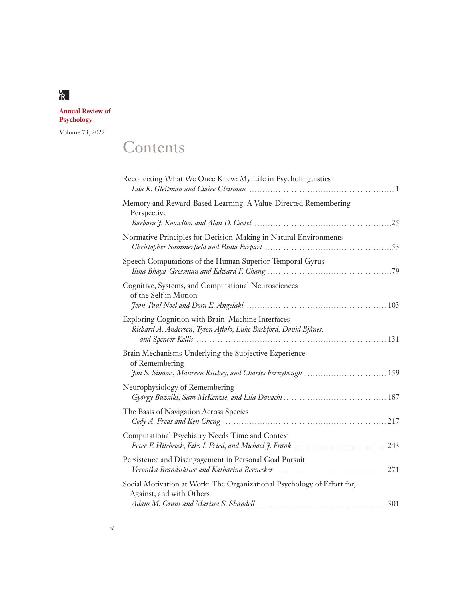**Annual Review of Psychology**

Volume 73, 2022

# **Contents**

| Recollecting What We Once Knew: My Life in Psycholinguistics                                                         |
|----------------------------------------------------------------------------------------------------------------------|
| Memory and Reward-Based Learning: A Value-Directed Remembering<br>Perspective                                        |
|                                                                                                                      |
| Normative Principles for Decision-Making in Natural Environments                                                     |
| Speech Computations of the Human Superior Temporal Gyrus                                                             |
| Cognitive, Systems, and Computational Neurosciences<br>of the Self in Motion                                         |
|                                                                                                                      |
| Exploring Cognition with Brain-Machine Interfaces<br>Richard A. Andersen, Tyson Aflalo, Luke Bashford, David Bjånes, |
| Brain Mechanisms Underlying the Subjective Experience<br>of Remembering                                              |
| Neurophysiology of Remembering                                                                                       |
| The Basis of Navigation Across Species                                                                               |
| Computational Psychiatry Needs Time and Context                                                                      |
| Persistence and Disengagement in Personal Goal Pursuit                                                               |
| Social Motivation at Work: The Organizational Psychology of Effort for,<br>Against, and with Others                  |
|                                                                                                                      |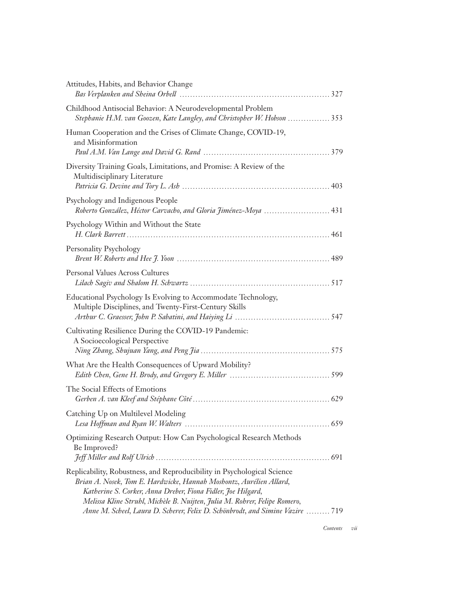| Attitudes, Habits, and Behavior Change                                                                                                                                                                                                                                                                                                                                       |
|------------------------------------------------------------------------------------------------------------------------------------------------------------------------------------------------------------------------------------------------------------------------------------------------------------------------------------------------------------------------------|
| Childhood Antisocial Behavior: A Neurodevelopmental Problem<br>Stephanie H.M. van Goozen, Kate Langley, and Christopher W. Hobson  353                                                                                                                                                                                                                                       |
| Human Cooperation and the Crises of Climate Change, COVID-19,<br>and Misinformation                                                                                                                                                                                                                                                                                          |
| Diversity Training Goals, Limitations, and Promise: A Review of the<br>Multidisciplinary Literature                                                                                                                                                                                                                                                                          |
| Psychology and Indigenous People<br>Roberto González, Héctor Carvacho, and Gloria Jiménez-Moya  431                                                                                                                                                                                                                                                                          |
| Psychology Within and Without the State                                                                                                                                                                                                                                                                                                                                      |
| Personality Psychology                                                                                                                                                                                                                                                                                                                                                       |
| <b>Personal Values Across Cultures</b>                                                                                                                                                                                                                                                                                                                                       |
| Educational Psychology Is Evolving to Accommodate Technology,<br>Multiple Disciplines, and Twenty-First-Century Skills                                                                                                                                                                                                                                                       |
| Cultivating Resilience During the COVID-19 Pandemic:<br>A Socioecological Perspective                                                                                                                                                                                                                                                                                        |
| What Are the Health Consequences of Upward Mobility?                                                                                                                                                                                                                                                                                                                         |
| The Social Effects of Emotions                                                                                                                                                                                                                                                                                                                                               |
| Catching Up on Multilevel Modeling                                                                                                                                                                                                                                                                                                                                           |
| Optimizing Research Output: How Can Psychological Research Methods<br>Be Improved?                                                                                                                                                                                                                                                                                           |
| Replicability, Robustness, and Reproducibility in Psychological Science<br>Brian A. Nosek, Tom E. Hardwicke, Hannah Moshontz, Aurélien Allard,<br>Katherine S. Corker, Anna Dreber, Fiona Fidler, Joe Hilgard,<br>Melissa Kline Struhl, Michèle B. Nuijten, Julia M. Rohrer, Felipe Romero,<br>Anne M. Scheel, Laura D. Scherer, Felix D. Schönbrodt, and Simine Vazire  719 |